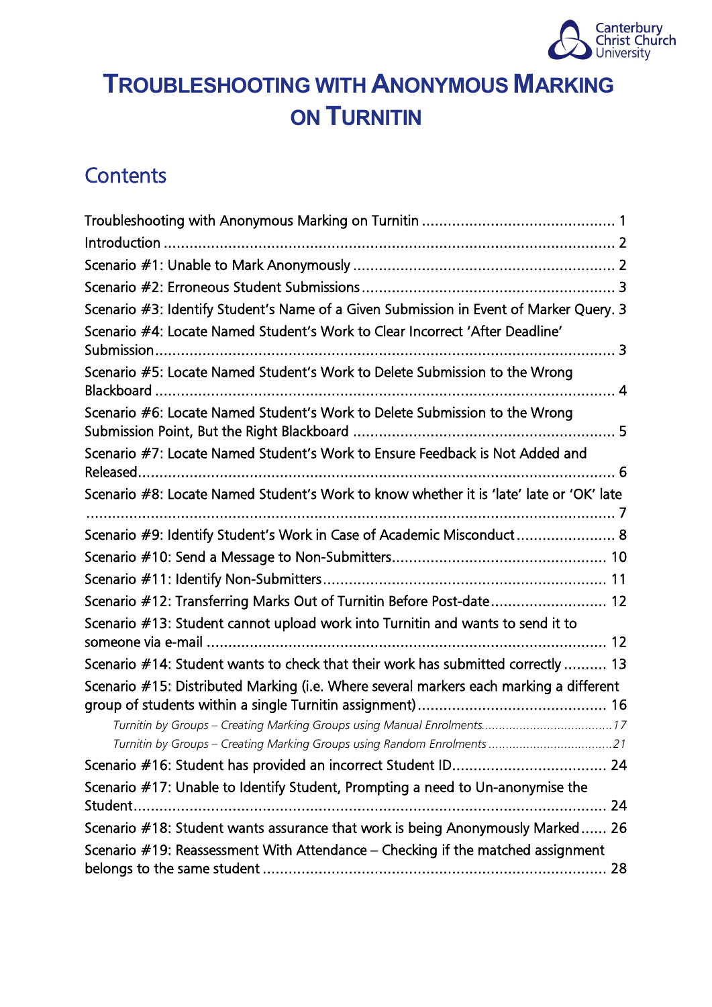

# <span id="page-0-0"></span>**TROUBLESHOOTING WITH ANONYMOUS MARKING ON TURNITIN**

# **Contents**

| Scenario #3: Identify Student's Name of a Given Submission in Event of Marker Query. 3  |  |
|-----------------------------------------------------------------------------------------|--|
| Scenario #4: Locate Named Student's Work to Clear Incorrect 'After Deadline'            |  |
| Scenario #5: Locate Named Student's Work to Delete Submission to the Wrong              |  |
| Scenario #6: Locate Named Student's Work to Delete Submission to the Wrong              |  |
| Scenario #7: Locate Named Student's Work to Ensure Feedback is Not Added and            |  |
| Scenario #8: Locate Named Student's Work to know whether it is 'late' late or 'OK' late |  |
| Scenario #9: Identify Student's Work in Case of Academic Misconduct 8                   |  |
|                                                                                         |  |
|                                                                                         |  |
| Scenario #12: Transferring Marks Out of Turnitin Before Post-date 12                    |  |
| Scenario #13: Student cannot upload work into Turnitin and wants to send it to          |  |
| Scenario #14: Student wants to check that their work has submitted correctly  13        |  |
| Scenario #15: Distributed Marking (i.e. Where several markers each marking a different  |  |
|                                                                                         |  |
|                                                                                         |  |
| Turnitin by Groups - Creating Marking Groups using Random Enrolments 21                 |  |
|                                                                                         |  |
| Scenario #17: Unable to Identify Student, Prompting a need to Un-anonymise the          |  |
|                                                                                         |  |
| Scenario #18: Student wants assurance that work is being Anonymously Marked 26          |  |
| Scenario #19: Reassessment With Attendance - Checking if the matched assignment         |  |
|                                                                                         |  |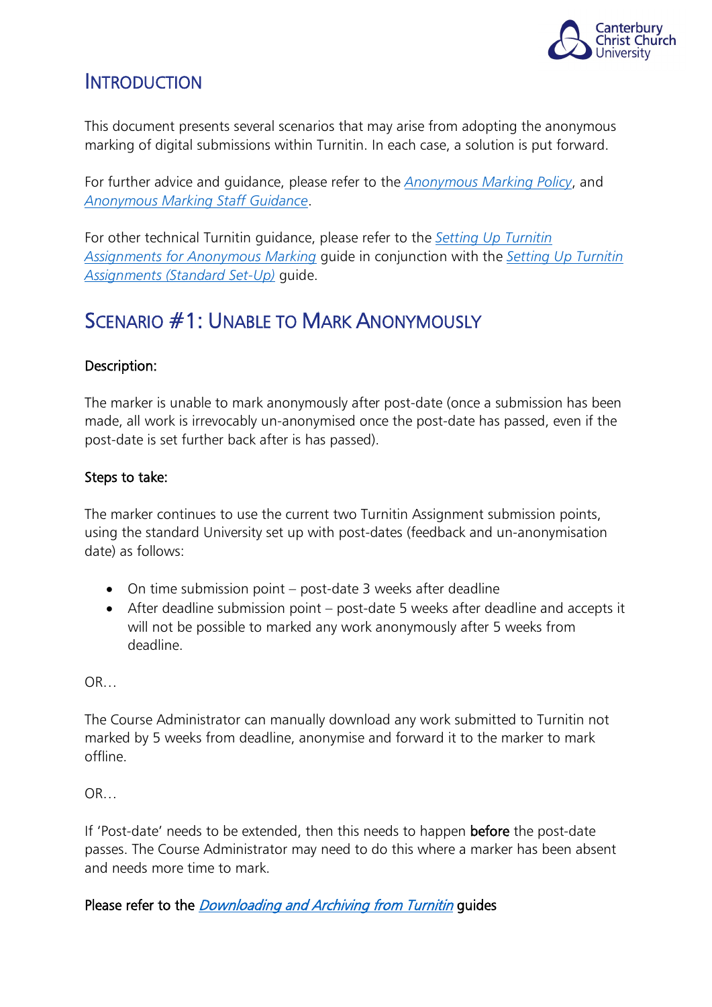

### <span id="page-1-0"></span>**INTRODUCTION**

This document presents several scenarios that may arise from adopting the anonymous marking of digital submissions within Turnitin. In each case, a solution is put forward.

For further advice and guidance, please refer to the *[Anonymous Marking Policy](https://www.canterbury.ac.uk/learning-and-teaching-enhancement/docs/Anon-Marking/Anonymous-Marking-Policy-AB-approved-June-2021.pdf)*, and *[Anonymous Marking Staff Guidance](https://www.canterbury.ac.uk/learning-and-teaching-enhancement/docs/Anon-Marking/Academic-Staff-Guidance-for-Anonymous-Marking.pdf)*.

For other technical Turnitin guidance, please refer to the *[Setting Up Turnitin](https://www.canterbury.ac.uk/learning-and-teaching-enhancement/docs/Anon-Marking/How-to-Set-Up-a-Turnitin-Assignment-for-Anonymous-Marking.pdf)  [Assignments for Anonymous Marking](https://www.canterbury.ac.uk/learning-and-teaching-enhancement/docs/Anon-Marking/How-to-Set-Up-a-Turnitin-Assignment-for-Anonymous-Marking.pdf)* guide in conjunction with the *[Setting Up Turnitin](https://blogs.canterbury.ac.uk/telkbstaff/assignment-set-up/)  [Assignments \(Standard Set-Up\)](https://blogs.canterbury.ac.uk/telkbstaff/assignment-set-up/)* guide.

### <span id="page-1-1"></span>SCENARIO #1: UNABLE TO MARK ANONYMOUSLY

### Description:

The marker is unable to mark anonymously after post-date (once a submission has been made, all work is irrevocably un-anonymised once the post-date has passed, even if the post-date is set further back after is has passed).

### Steps to take:

The marker continues to use the current two Turnitin Assignment submission points, using the standard University set up with post-dates (feedback and un-anonymisation date) as follows:

- On time submission point post-date 3 weeks after deadline
- After deadline submission point post-date 5 weeks after deadline and accepts it will not be possible to marked any work anonymously after 5 weeks from deadline.

OR…

The Course Administrator can manually download any work submitted to Turnitin not marked by 5 weeks from deadline, anonymise and forward it to the marker to mark offline.

OR…

If 'Post-date' needs to be extended, then this needs to happen before the post-date passes. The Course Administrator may need to do this where a marker has been absent and needs more time to mark.

### Please refer to the *[Downloading and Archiving from Turnitin](https://blogs.canterbury.ac.uk/telkbstaff/downloading-and-archiving-from-turnitin/)* guides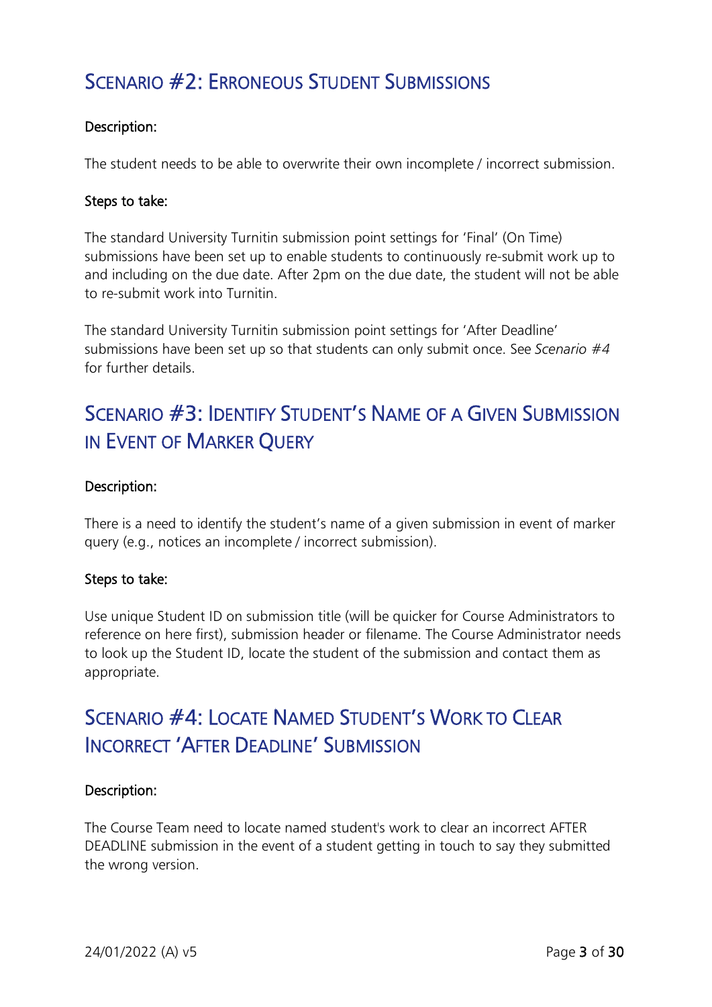### <span id="page-2-0"></span>SCENARIO #2: ERRONEOUS STUDENT SUBMISSIONS

### Description:

The student needs to be able to overwrite their own incomplete / incorrect submission.

#### Steps to take:

The standard University Turnitin submission point settings for 'Final' (On Time) submissions have been set up to enable students to continuously re-submit work up to and including on the due date. After 2pm on the due date, the student will not be able to re-submit work into Turnitin.

The standard University Turnitin submission point settings for 'After Deadline' submissions have been set up so that students can only submit once. See *Scenario #4* for further details.

### <span id="page-2-1"></span>SCENARIO #3: IDENTIFY STUDENT'S NAME OF A GIVEN SUBMISSION IN EVENT OF MARKER QUERY

#### Description:

There is a need to identify the student's name of a given submission in event of marker query (e.g., notices an incomplete / incorrect submission).

### Steps to take:

Use unique Student ID on submission title (will be quicker for Course Administrators to reference on here first), submission header or filename. The Course Administrator needs to look up the Student ID, locate the student of the submission and contact them as appropriate.

### <span id="page-2-2"></span>SCENARIO #4: LOCATE NAMED STUDENT'S WORK TO CLEAR INCORRECT 'AFTER DEADLINE' SUBMISSION

### Description:

The Course Team need to locate named student's work to clear an incorrect AFTER DEADLINE submission in the event of a student getting in touch to say they submitted the wrong version.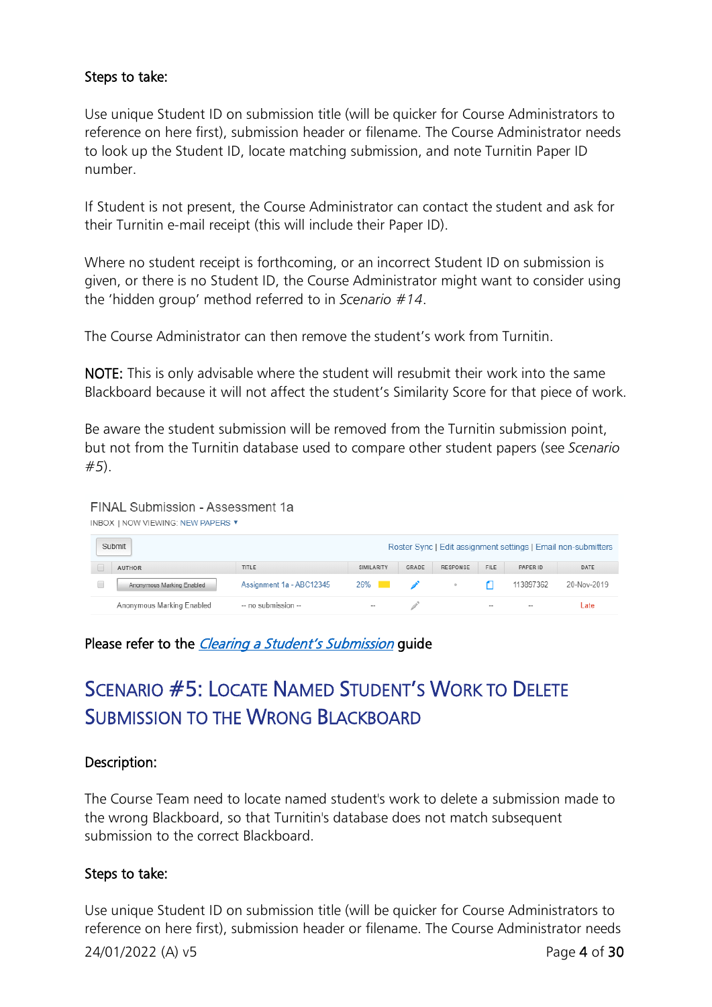### Steps to take:

Use unique Student ID on submission title (will be quicker for Course Administrators to reference on here first), submission header or filename. The Course Administrator needs to look up the Student ID, locate matching submission, and note Turnitin Paper ID number.

If Student is not present, the Course Administrator can contact the student and ask for their Turnitin e-mail receipt (this will include their Paper ID).

Where no student receipt is forthcoming, or an incorrect Student ID on submission is given, or there is no Student ID, the Course Administrator might want to consider using the 'hidden group' method referred to in *Scenario #14*.

The Course Administrator can then remove the student's work from Turnitin.

NOTE: This is only advisable where the student will resubmit their work into the same Blackboard because it will not affect the student's Similarity Score for that piece of work.

Be aware the student submission will be removed from the Turnitin submission point, but not from the Turnitin database used to compare other student papers (see *Scenario #5*).

FINAL Submission - Assessment 1a INBOX I NOW VIEWING: NEW PAPERS ▼

| Submit                    |                          |            |              |                 |                          |                          | Roster Sync   Edit assignment settings   Email non-submitters |
|---------------------------|--------------------------|------------|--------------|-----------------|--------------------------|--------------------------|---------------------------------------------------------------|
| <b>AUTHOR</b>             | TITLE                    | SIMILARITY | GRADE        | <b>RESPONSE</b> | <b>FILE</b>              | PAPER ID                 | DATE                                                          |
| Anonymous Marking Enabled | Assignment 1a - ABC12345 | $26\%$     | $\mathbb{Z}$ |                 |                          | 113897362                | 20-Nov-2019                                                   |
| Anonymous Marking Enabled | -- no submission --      | --         |              |                 | $\overline{\phantom{a}}$ | $\overline{\phantom{a}}$ | Late                                                          |

### Please refer to the *[Clearing a Student's Submission](https://blogs.canterbury.ac.uk/telkbstaff/clearing-a-students-submission/)* guide

# <span id="page-3-0"></span>SCENARIO #5: LOCATE NAMED STUDENT'S WORK TO DELETE SUBMISSION TO THE WRONG BLACKBOARD

### Description:

The Course Team need to locate named student's work to delete a submission made to the wrong Blackboard, so that Turnitin's database does not match subsequent submission to the correct Blackboard.

### Steps to take:

Use unique Student ID on submission title (will be quicker for Course Administrators to reference on here first), submission header or filename. The Course Administrator needs

24/01/2022 (A) v5 Page 4 of 30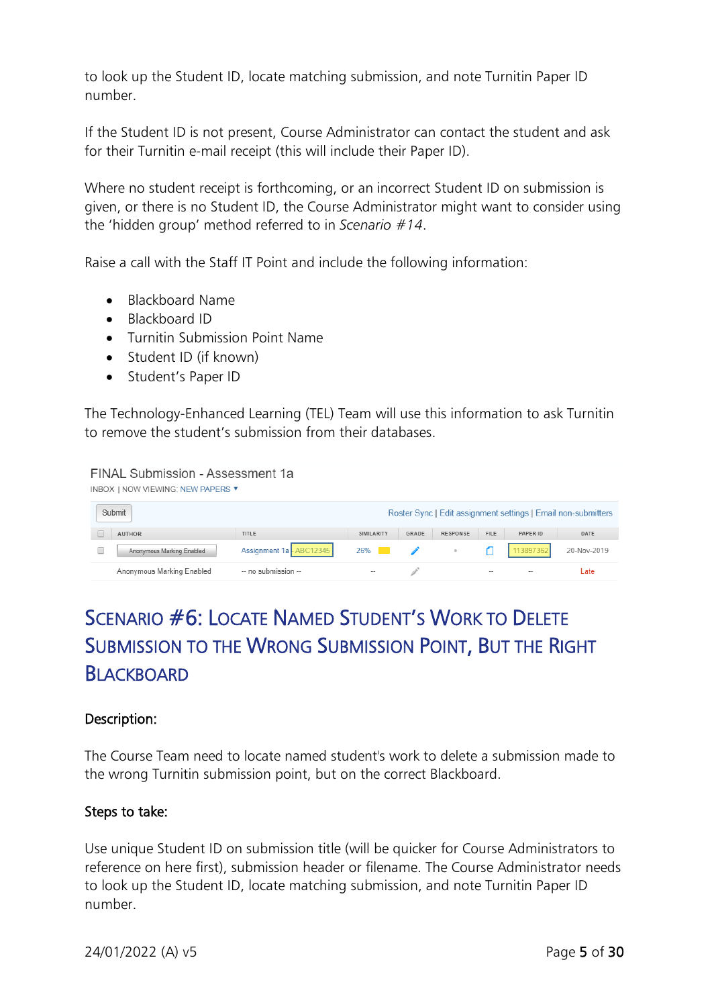to look up the Student ID, locate matching submission, and note Turnitin Paper ID number.

If the Student ID is not present, Course Administrator can contact the student and ask for their Turnitin e-mail receipt (this will include their Paper ID).

Where no student receipt is forthcoming, or an incorrect Student ID on submission is given, or there is no Student ID, the Course Administrator might want to consider using the 'hidden group' method referred to in *Scenario #14*.

Raise a call with the Staff IT Point and include the following information:

- Blackboard Name
- Blackboard ID
- Turnitin Submission Point Name
- Student ID (if known)
- Student's Paper ID

The Technology-Enhanced Learning (TEL) Team will use this information to ask Turnitin to remove the student's submission from their databases.

#### FINAL Submission - Assessment 1a

| <b>INBOX   NOW VIEWING: NEW PAPERS ▼</b> |                          |                       |       |                 |                          |                          |                                                               |
|------------------------------------------|--------------------------|-----------------------|-------|-----------------|--------------------------|--------------------------|---------------------------------------------------------------|
| Submit                                   |                          |                       |       |                 |                          |                          | Roster Sync   Edit assignment settings   Email non-submitters |
| <b>AUTHOR</b>                            | TITLE                    | SIMILARITY            | GRADE | <b>RESPONSE</b> | <b>FILE</b>              | PAPER ID                 | DATE                                                          |
| Anonymous Marking Enabled                | Assignment 1a - ABC12345 | $26\%$ $\blacksquare$ |       |                 |                          | 113897362                | 20-Nov-2019                                                   |
| Anonymous Marking Enabled                | -- no submission --      | --                    |       |                 | $\overline{\phantom{a}}$ | $\overline{\phantom{a}}$ | ∟ate                                                          |

# <span id="page-4-0"></span>SCENARIO #6: LOCATE NAMED STUDENT'S WORK TO DELETE SUBMISSION TO THE WRONG SUBMISSION POINT, BUT THE RIGHT BLACKBOARD

#### Description:

The Course Team need to locate named student's work to delete a submission made to the wrong Turnitin submission point, but on the correct Blackboard.

#### Steps to take:

Use unique Student ID on submission title (will be quicker for Course Administrators to reference on here first), submission header or filename. The Course Administrator needs to look up the Student ID, locate matching submission, and note Turnitin Paper ID number.

24/01/2022 (A) v5 Page 5 of 30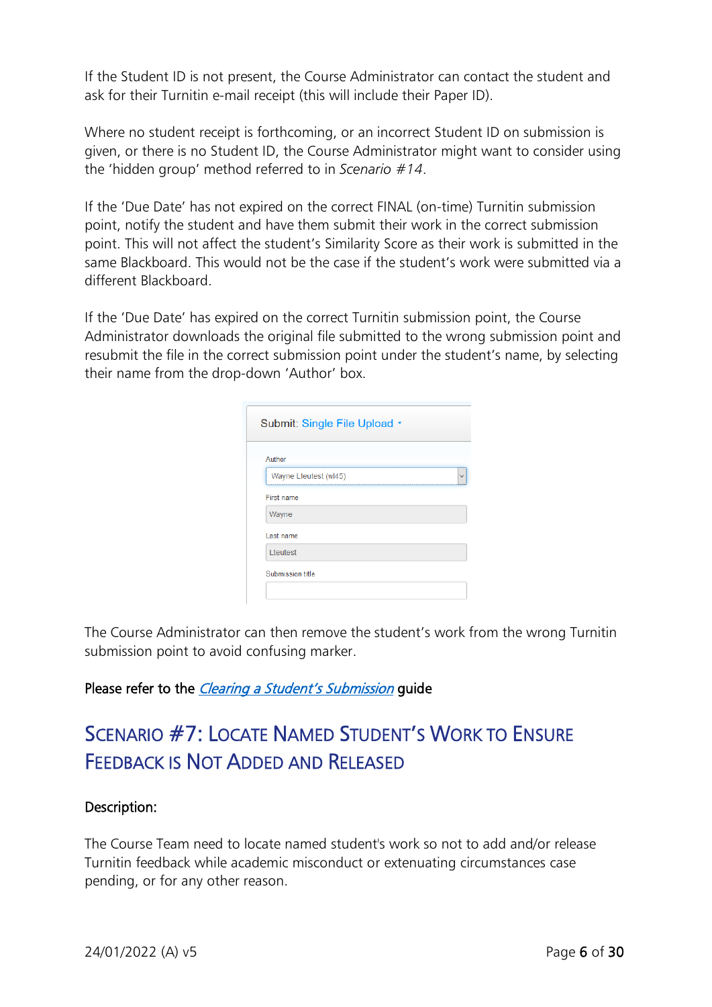If the Student ID is not present, the Course Administrator can contact the student and ask for their Turnitin e-mail receipt (this will include their Paper ID).

Where no student receipt is forthcoming, or an incorrect Student ID on submission is given, or there is no Student ID, the Course Administrator might want to consider using the 'hidden group' method referred to in *Scenario #14*.

If the 'Due Date' has not expired on the correct FINAL (on-time) Turnitin submission point, notify the student and have them submit their work in the correct submission point. This will not affect the student's Similarity Score as their work is submitted in the same Blackboard. This would not be the case if the student's work were submitted via a different Blackboard.

If the 'Due Date' has expired on the correct Turnitin submission point, the Course Administrator downloads the original file submitted to the wrong submission point and resubmit the file in the correct submission point under the student's name, by selecting their name from the drop-down 'Author' box.

| Author                |  |  |
|-----------------------|--|--|
| Wayne Lteutest (wl45) |  |  |
| <b>First name</b>     |  |  |
| Wayne                 |  |  |
| Last name             |  |  |
| Lteutest              |  |  |

The Course Administrator can then remove the student's work from the wrong Turnitin submission point to avoid confusing marker.

### Please refer to the *[Clearing a Student's Submission](https://blogs.canterbury.ac.uk/telkbstaff/clearing-a-students-submission/)* guide

# <span id="page-5-0"></span>SCENARIO #7: LOCATE NAMED STUDENT'S WORK TO ENSURE FEEDBACK IS NOT ADDED AND RELEASED

### Description:

The Course Team need to locate named student's work so not to add and/or release Turnitin feedback while academic misconduct or extenuating circumstances case pending, or for any other reason.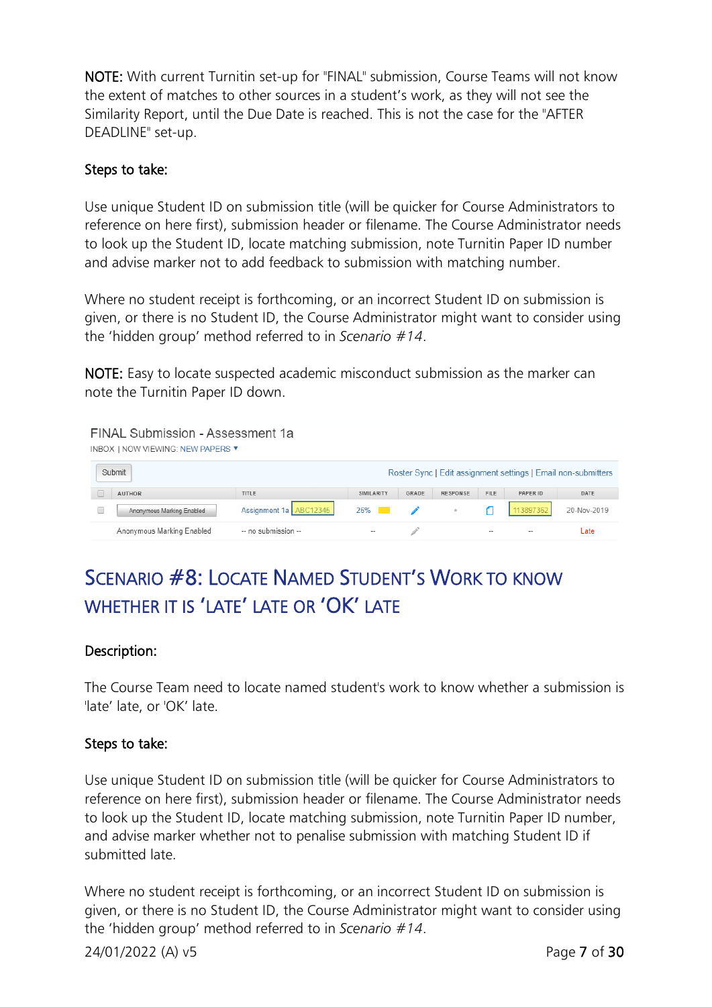NOTE: With current Turnitin set-up for "FINAL" submission, Course Teams will not know the extent of matches to other sources in a student's work, as they will not see the Similarity Report, until the Due Date is reached. This is not the case for the "AFTER DEADLINE" set-up.

#### Steps to take:

Use unique Student ID on submission title (will be quicker for Course Administrators to reference on here first), submission header or filename. The Course Administrator needs to look up the Student ID, locate matching submission, note Turnitin Paper ID number and advise marker not to add feedback to submission with matching number.

Where no student receipt is forthcoming, or an incorrect Student ID on submission is given, or there is no Student ID, the Course Administrator might want to consider using the 'hidden group' method referred to in *Scenario #14*.

NOTE: Easy to locate suspected academic misconduct submission as the marker can note the Turnitin Paper ID down.

| FINAL Submission - Assessment 1a<br>INBOX   NOW VIEWING: NEW PAPERS ▼ |                          |                        |       |                 |             |                          |                                                               |
|-----------------------------------------------------------------------|--------------------------|------------------------|-------|-----------------|-------------|--------------------------|---------------------------------------------------------------|
| Submit                                                                |                          |                        |       |                 |             |                          | Roster Sync   Edit assignment settings   Email non-submitters |
| <b>AUTHOR</b>                                                         | TITLE                    | SIMILARITY             | GRADE | <b>RESPONSE</b> | <b>FILE</b> | PAPER ID                 | DATE                                                          |
| Anonymous Marking Enabled                                             | Assignment 1a - ABC12345 | 26%<br><b>Contract</b> |       | $\circ$         |             | 113897362                | 20-Nov-2019                                                   |
| Anonymous Marking Enabled                                             | -- no submission --      | --                     |       |                 |             | $\overline{\phantom{a}}$ | Late                                                          |

# <span id="page-6-0"></span>SCENARIO #8: LOCATE NAMED STUDENT'S WORK TO KNOW WHETHER IT IS 'LATE' LATE OR 'OK' LATE

### Description:

The Course Team need to locate named student's work to know whether a submission is 'late' late, or 'OK' late.

### Steps to take:

Use unique Student ID on submission title (will be quicker for Course Administrators to reference on here first), submission header or filename. The Course Administrator needs to look up the Student ID, locate matching submission, note Turnitin Paper ID number, and advise marker whether not to penalise submission with matching Student ID if submitted late.

Where no student receipt is forthcoming, or an incorrect Student ID on submission is given, or there is no Student ID, the Course Administrator might want to consider using the 'hidden group' method referred to in *Scenario #14*.

24/01/2022 (A) v5 Page 7 of 30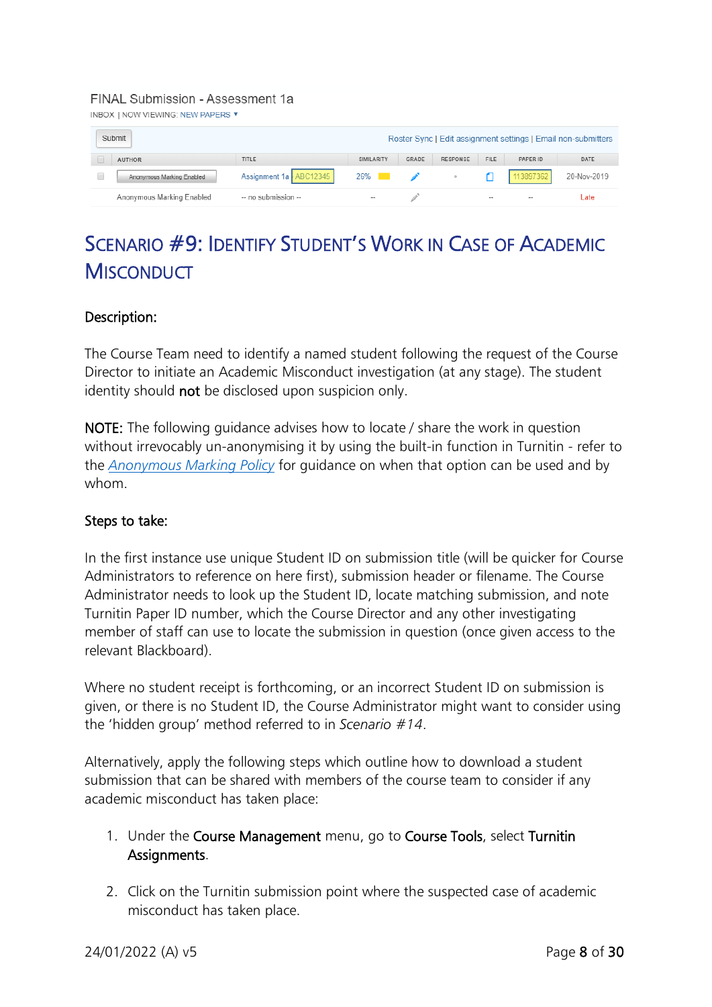#### FINAL Submission - Assessment 1a

**INBOX | NOW VIEWING: NEW PAPERS ▼** 

| Submit                    |                          |                       |       |                 |                          |                          | Roster Sync   Edit assignment settings   Email non-submitters |
|---------------------------|--------------------------|-----------------------|-------|-----------------|--------------------------|--------------------------|---------------------------------------------------------------|
| <b>AUTHOR</b>             | TITLE                    | SIMILARITY            | GRADE | <b>RESPONSE</b> | <b>FILE</b>              | PAPER ID                 | DATE                                                          |
| Anonymous Marking Enabled | Assignment 1a - ABC12345 | $26\%$ $\blacksquare$ |       |                 |                          | 113897362                | 20-Nov-2019                                                   |
| Anonymous Marking Enabled | -- no submission --      | $- -$                 |       |                 | $\overline{\phantom{a}}$ | $\overline{\phantom{a}}$ | Late                                                          |

# <span id="page-7-0"></span>SCENARIO #9: IDENTIFY STUDENT'S WORK IN CASE OF ACADEMIC **MISCONDUCT**

### Description:

The Course Team need to identify a named student following the request of the Course Director to initiate an Academic Misconduct investigation (at any stage). The student identity should not be disclosed upon suspicion only.

NOTE: The following guidance advises how to locate / share the work in question without irrevocably un-anonymising it by using the built-in function in Turnitin - refer to the *[Anonymous Marking Policy](https://www.canterbury.ac.uk/learning-and-teaching-enhancement/docs/Anon-Marking/Anonymous-Marking-Policy-AB-approved-June-2021.pdf)* for guidance on when that option can be used and by whom.

### Steps to take:

In the first instance use unique Student ID on submission title (will be quicker for Course Administrators to reference on here first), submission header or filename. The Course Administrator needs to look up the Student ID, locate matching submission, and note Turnitin Paper ID number, which the Course Director and any other investigating member of staff can use to locate the submission in question (once given access to the relevant Blackboard).

Where no student receipt is forthcoming, or an incorrect Student ID on submission is given, or there is no Student ID, the Course Administrator might want to consider using the 'hidden group' method referred to in *Scenario #14*.

Alternatively, apply the following steps which outline how to download a student submission that can be shared with members of the course team to consider if any academic misconduct has taken place:

- 1. Under the Course Management menu, go to Course Tools, select Turnitin Assignments.
- 2. Click on the Turnitin submission point where the suspected case of academic misconduct has taken place.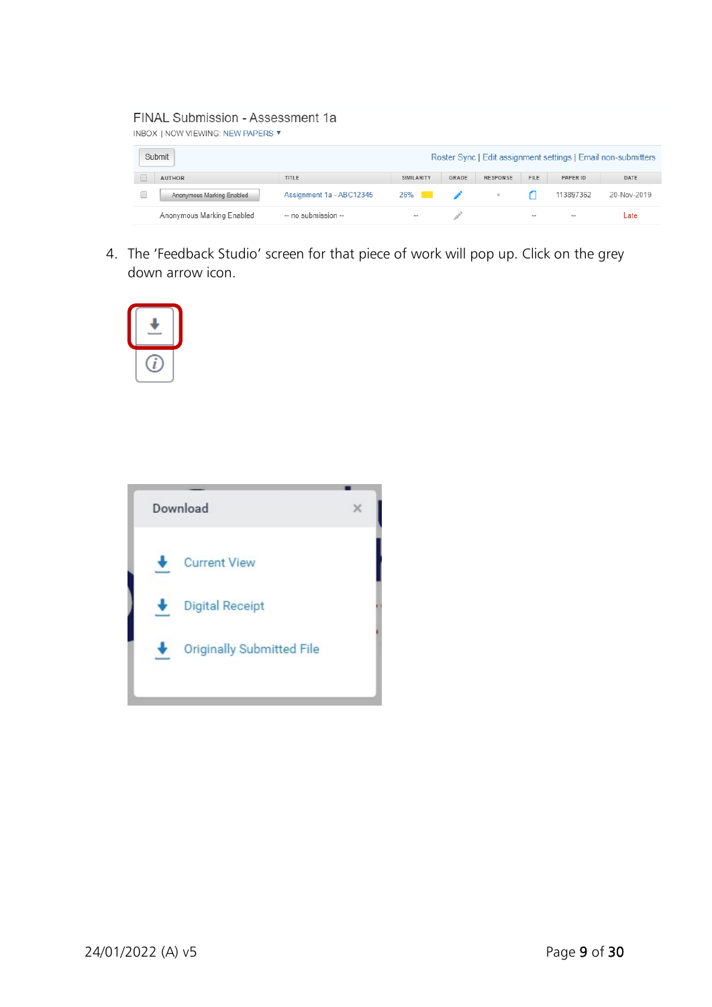#### FINAL Submission - Assessment 1a

| Submit                    |                          |            |               |                 |                   |                   | Roster Sync   Edit assignment settings   Email non-submitters |
|---------------------------|--------------------------|------------|---------------|-----------------|-------------------|-------------------|---------------------------------------------------------------|
| <b>AUTHOR</b>             | TITLE                    | SIMILARITY | GRADE         | <b>RESPONSE</b> | <b>FILE</b>       | PAPER ID          | DATE                                                          |
| Anonymous Marking Enabled | Assignment 1a - ABC12345 | $26\%$     | $\mathscr{L}$ | $\sim$          |                   | 113897362         | 20-Nov-2019                                                   |
| Anonymous Marking Enabled | -- no submission --      | $- -$      |               |                 | $\hspace{0.05cm}$ | $\hspace{0.05cm}$ | Late                                                          |

4. The 'Feedback Studio' screen for that piece of work will pop up. Click on the grey down arrow icon.



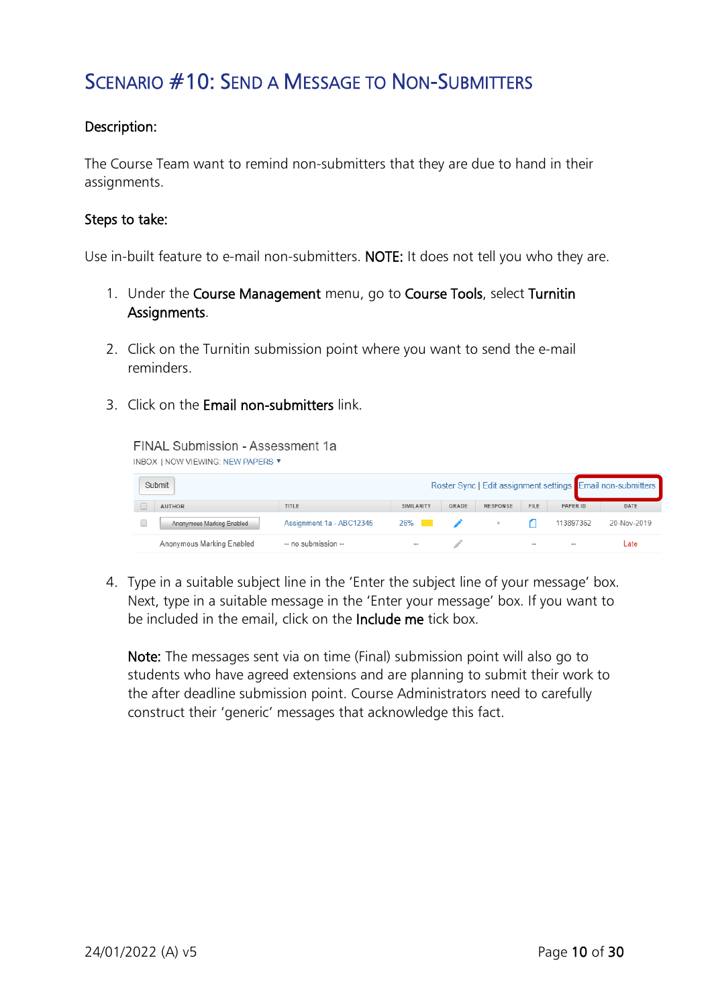### <span id="page-9-0"></span>SCENARIO #10: SEND A MESSAGE TO NON-SUBMITTERS

### Description:

The Course Team want to remind non-submitters that they are due to hand in their assignments.

#### Steps to take:

Use in-built feature to e-mail non-submitters. NOTE: It does not tell you who they are.

- 1. Under the Course Management menu, go to Course Tools, select Turnitin Assignments.
- 2. Click on the Turnitin submission point where you want to send the e-mail reminders.
- 3. Click on the Email non-submitters link.

FINAL Submission - Assessment 1a **INBOX | NOW VIEWING: NEW PAPERS ▼** 

| Submit                    |                          |            |       |                 |                          |           | Roster Sync   Edit assignment settings Email non-submitters |
|---------------------------|--------------------------|------------|-------|-----------------|--------------------------|-----------|-------------------------------------------------------------|
| <b>AUTHOR</b>             | TITLE                    | SIMILARITY | GRADE | <b>RESPONSE</b> | <b>FILE</b>              | PAPER ID  | DATE                                                        |
| Anonymous Marking Enabled | Assignment 1a - ABC12345 | $26\%$     |       |                 |                          | 113897362 | 20-Nov-2019                                                 |
| Anonymous Marking Enabled | -- no submission --      | $-$        |       |                 | $\overline{\phantom{a}}$ |           | Late                                                        |

4. Type in a suitable subject line in the 'Enter the subject line of your message' box. Next, type in a suitable message in the 'Enter your message' box. If you want to be included in the email, click on the Include me tick box.

Note: The messages sent via on time (Final) submission point will also go to students who have agreed extensions and are planning to submit their work to the after deadline submission point. Course Administrators need to carefully construct their 'generic' messages that acknowledge this fact.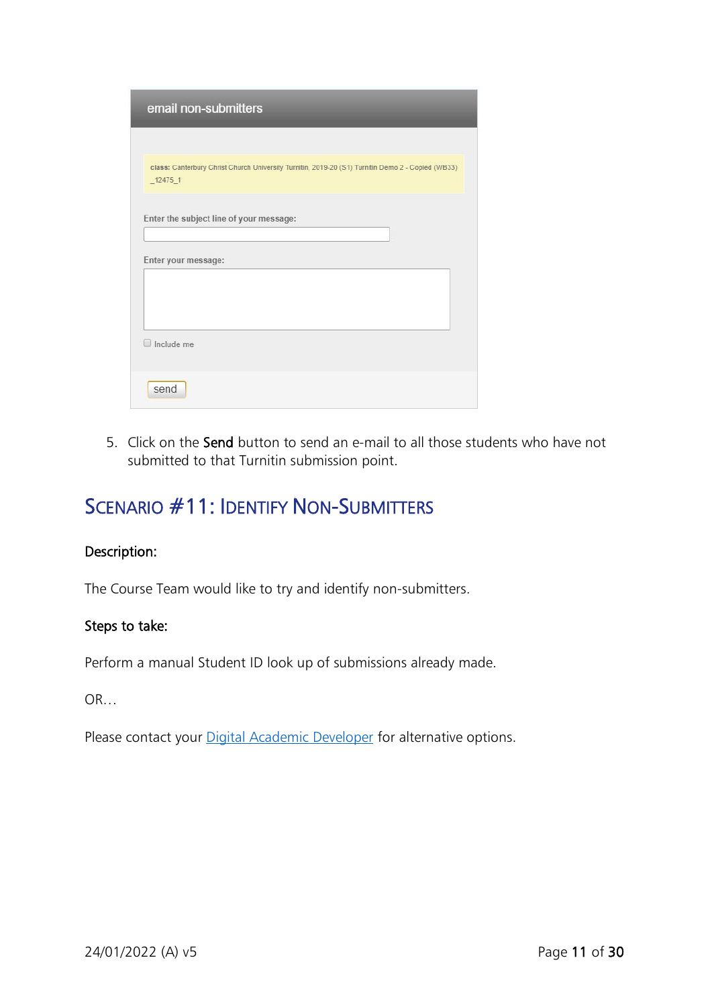| email non-submitters                                                                              |
|---------------------------------------------------------------------------------------------------|
| class: Canterbury Christ Church University Turnitin, 2019-20 (S1) Turnitin Demo 2 - Copied (WB33) |
| $-12475-1$                                                                                        |
| Enter the subject line of your message:                                                           |
| Enter your message:                                                                               |
|                                                                                                   |
| Include me                                                                                        |
|                                                                                                   |
| send                                                                                              |

5. Click on the Send button to send an e-mail to all those students who have not submitted to that Turnitin submission point.

### <span id="page-10-0"></span>SCENARIO #11: IDENTIFY NON-SUBMITTERS

#### Description:

The Course Team would like to try and identify non-submitters.

### Steps to take:

Perform a manual Student ID look up of submissions already made.

OR…

Please contact your **Digital Academic Developer** for alternative options.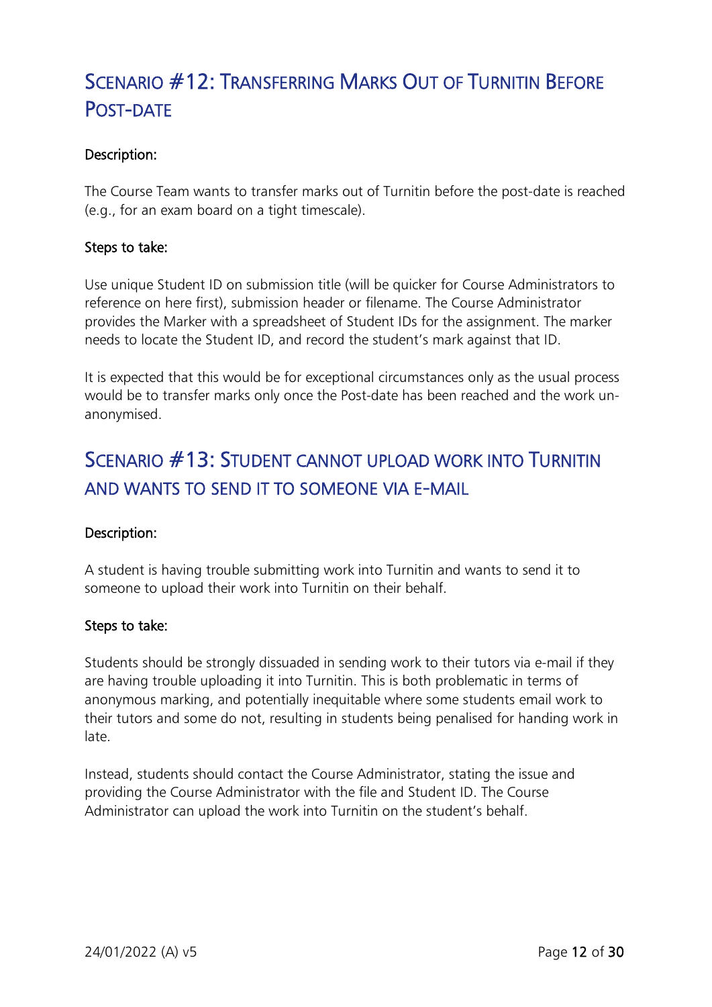# <span id="page-11-0"></span>SCENARIO #12: TRANSFERRING MARKS OUT OF TURNITIN BEFORE POST-DATE

### Description:

The Course Team wants to transfer marks out of Turnitin before the post-date is reached (e.g., for an exam board on a tight timescale).

### Steps to take:

Use unique Student ID on submission title (will be quicker for Course Administrators to reference on here first), submission header or filename. The Course Administrator provides the Marker with a spreadsheet of Student IDs for the assignment. The marker needs to locate the Student ID, and record the student's mark against that ID.

It is expected that this would be for exceptional circumstances only as the usual process would be to transfer marks only once the Post-date has been reached and the work unanonymised.

### <span id="page-11-1"></span>SCENARIO #13: STUDENT CANNOT UPLOAD WORK INTO TURNITIN AND WANTS TO SEND IT TO SOMEONE VIA E-MAIL

### Description:

A student is having trouble submitting work into Turnitin and wants to send it to someone to upload their work into Turnitin on their behalf.

### Steps to take:

Students should be strongly dissuaded in sending work to their tutors via e-mail if they are having trouble uploading it into Turnitin. This is both problematic in terms of anonymous marking, and potentially inequitable where some students email work to their tutors and some do not, resulting in students being penalised for handing work in late.

Instead, students should contact the Course Administrator, stating the issue and providing the Course Administrator with the file and Student ID. The Course Administrator can upload the work into Turnitin on the student's behalf.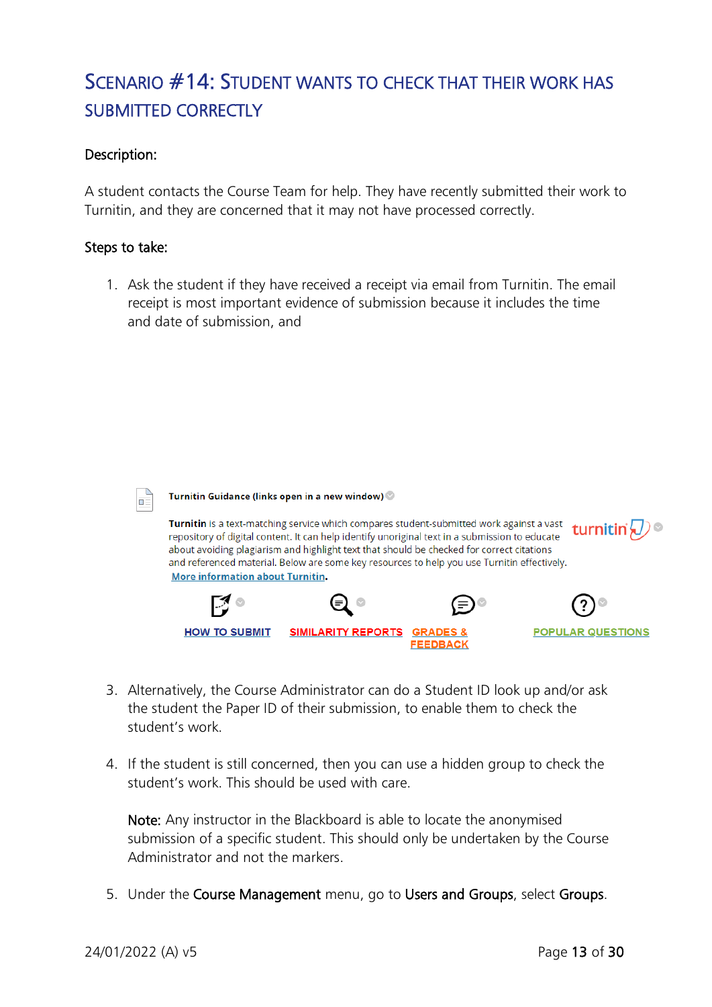# <span id="page-12-0"></span>SCENARIO #14: STUDENT WANTS TO CHECK THAT THEIR WORK HAS SUBMITTED CORRECTLY

### Description:

A student contacts the Course Team for help. They have recently submitted their work to Turnitin, and they are concerned that it may not have processed correctly.

#### Steps to take:

1. Ask the student if they have received a receipt via email from Turnitin. The email receipt is most important evidence of submission because it includes the time and date of submission, and



Turnitin Guidance (links open in a new window)

Turnitin is a text-matching service which compares student-submitted work against a vast turnitin  $\langle \, \rangle$ repository of digital content. It can help identify unoriginal text in a submission to educate about avoiding plagiarism and highlight text that should be checked for correct citations and referenced material. Below are some key resources to help you use Turnitin effectively. **More information about Turnitin.** 



- 3. Alternatively, the Course Administrator can do a Student ID look up and/or ask the student the Paper ID of their submission, to enable them to check the student's work.
- 4. If the student is still concerned, then you can use a hidden group to check the student's work. This should be used with care.

Note: Any instructor in the Blackboard is able to locate the anonymised submission of a specific student. This should only be undertaken by the Course Administrator and not the markers.

5. Under the Course Management menu, go to Users and Groups, select Groups.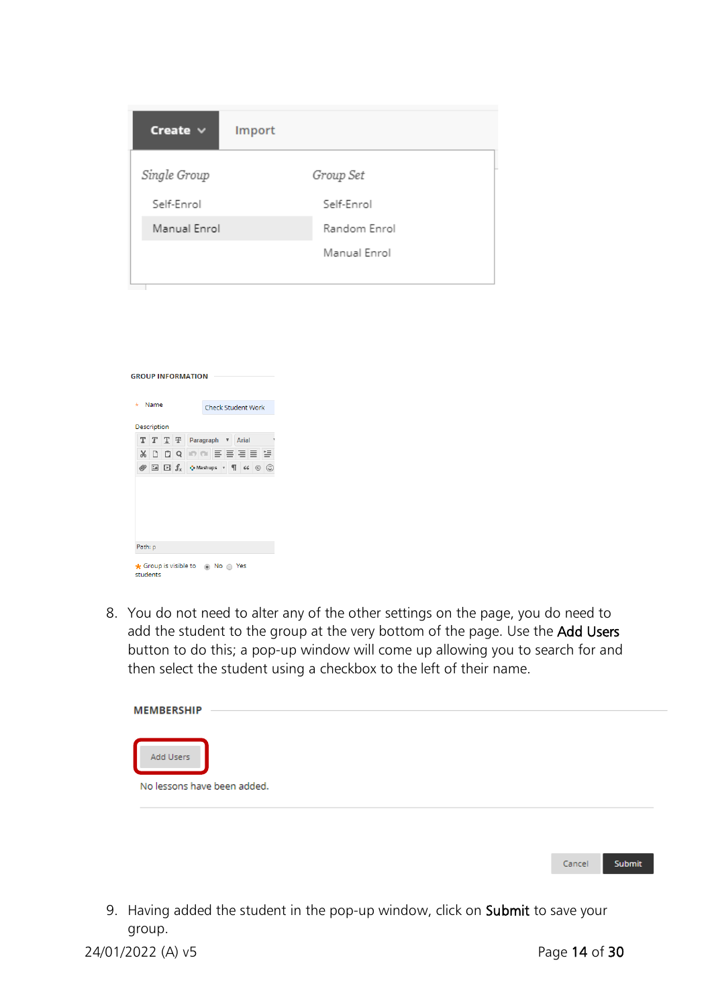| Create $\vee$ | Import       |
|---------------|--------------|
| Single Group  | Group Set    |
| Self-Enrol    | Self-Enrol   |
| Manual Enrol  | Random Enrol |
|               | Manual Enrol |
|               |              |

| Name<br>$\star$ |             |  |                     | <b>Check Student Work</b>                        |
|-----------------|-------------|--|---------------------|--------------------------------------------------|
|                 | Description |  |                     |                                                  |
|                 |             |  | T T T <del>T</del>  | Arial<br>Paragraph<br>$\overline{\mathbf{v}}$    |
| $\chi$          | n.          |  | ÔΩ                  | 이에 퇴복되는 역                                        |
| Ø               |             |  | $\Box$ $\Box$ $f_x$ | $\bullet$ Mashups $\bullet$ $\P$ 66 $\circ$<br>☺ |
|                 | Path: p     |  |                     |                                                  |

8. You do not need to alter any of the other settings on the page, you do need to add the student to the group at the very bottom of the page. Use the Add Users button to do this; a pop-up window will come up allowing you to search for and then select the student using a checkbox to the left of their name.

| <b>MEMBERSHIP</b>           |  |  |  |
|-----------------------------|--|--|--|
|                             |  |  |  |
| Add Users                   |  |  |  |
| No lessons have been added. |  |  |  |
|                             |  |  |  |

9. Having added the student in the pop-up window, click on Submit to save your group.

24/01/2022 (A) v5 Page 14 of 30

Cancel

Submit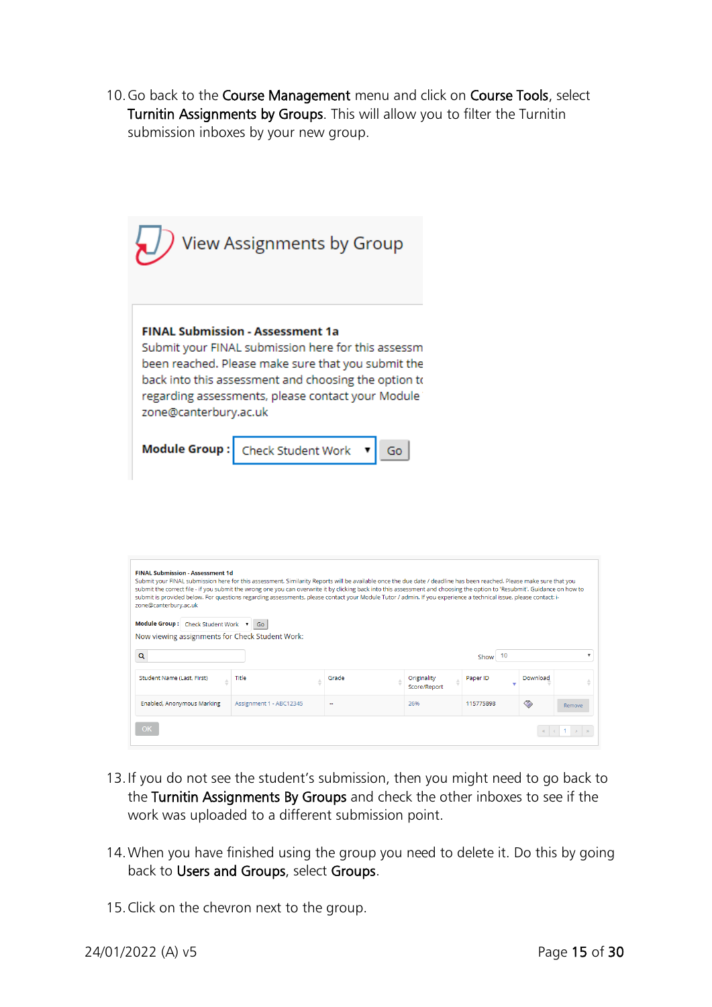10. Go back to the Course Management menu and click on Course Tools, select Turnitin Assignments by Groups. This will allow you to filter the Turnitin submission inboxes by your new group.

|                       | $\bigcup$ View Assignments by Group                                                                                                                                                                                                                              |
|-----------------------|------------------------------------------------------------------------------------------------------------------------------------------------------------------------------------------------------------------------------------------------------------------|
| zone@canterbury.ac.uk | <b>FINAL Submission - Assessment 1a</b><br>Submit your FINAL submission here for this assessm<br>been reached. Please make sure that you submit the<br>back into this assessment and choosing the option to<br>regarding assessments, please contact your Module |
|                       | Module Group : Check Student Work ▼                                                                                                                                                                                                                              |

| Submit your FINAL submission here for this assessment. Similarity Reports will be available once the due date / deadline has been reached. Please make sure that you<br>submit the correct file - if you submit the wrong one you can overwrite it by clicking back into this assessment and choosing the option to 'Resubmit'. Guidance on how to<br>submit is provided below. For questions regarding assessments, please contact your Module Tutor / admin. If you experience a technical issue, please contact: i-<br>zone@canterbury.ac.uk |                         |                |                             |            |          |        |
|-------------------------------------------------------------------------------------------------------------------------------------------------------------------------------------------------------------------------------------------------------------------------------------------------------------------------------------------------------------------------------------------------------------------------------------------------------------------------------------------------------------------------------------------------|-------------------------|----------------|-----------------------------|------------|----------|--------|
| Module Group: Check Student Work v                                                                                                                                                                                                                                                                                                                                                                                                                                                                                                              | Go                      |                |                             |            |          |        |
| Now viewing assignments for Check Student Work:                                                                                                                                                                                                                                                                                                                                                                                                                                                                                                 |                         |                |                             |            |          |        |
| $\alpha$                                                                                                                                                                                                                                                                                                                                                                                                                                                                                                                                        |                         |                |                             | 10<br>Show |          |        |
| Student Name (Last, First)                                                                                                                                                                                                                                                                                                                                                                                                                                                                                                                      | Title                   | Grade          | Originality<br>Score/Report | Paper ID   | Download |        |
| Enabled, Anonymous Marking                                                                                                                                                                                                                                                                                                                                                                                                                                                                                                                      | Assignment 1 - ABC12345 | $\overline{a}$ | 26%                         | 115775898  | ◇        | Remove |

- 13.If you do not see the student's submission, then you might need to go back to the Turnitin Assignments By Groups and check the other inboxes to see if the work was uploaded to a different submission point.
- 14.When you have finished using the group you need to delete it. Do this by going back to Users and Groups, select Groups.
- 15.Click on the chevron next to the group.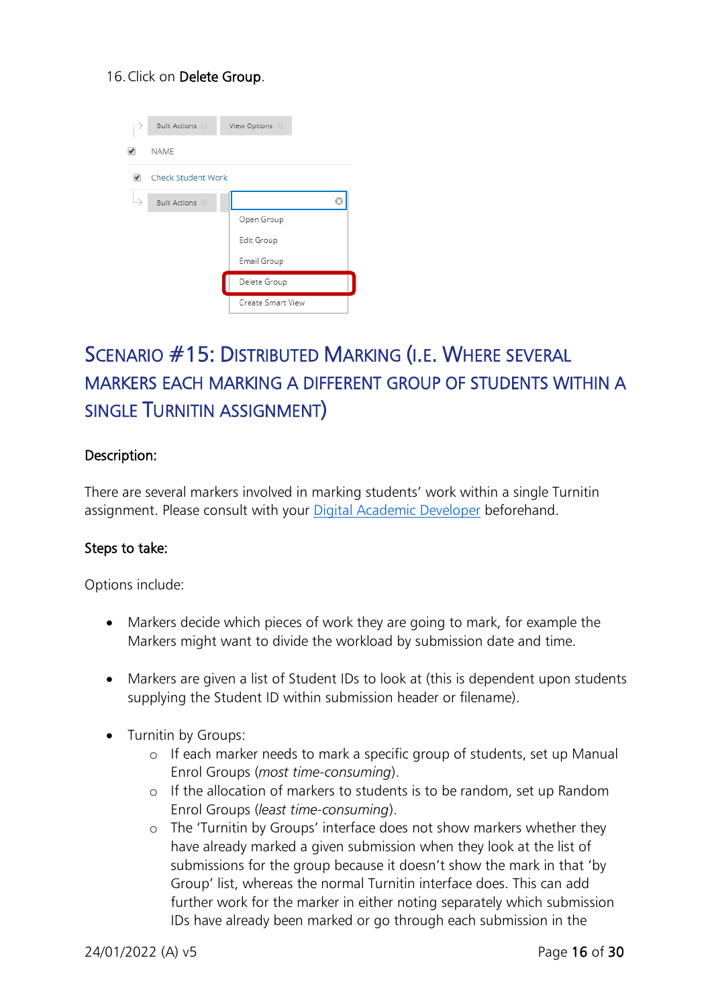#### 16.Click on Delete Group.

| P  | <b>Bulk Actions</b> | View Options             |  |
|----|---------------------|--------------------------|--|
|    | <b>NAME</b>         |                          |  |
|    | Check Student Work  |                          |  |
| L, | <b>Bulk Actions</b> |                          |  |
|    |                     | Open Group               |  |
|    |                     | <b>Edit Group</b>        |  |
|    |                     | <b>Email Group</b>       |  |
|    |                     | Delete Group             |  |
|    |                     | <b>Create Smart View</b> |  |

# <span id="page-15-0"></span>SCENARIO #15: DISTRIBUTED MARKING (I.E. WHERE SEVERAL MARKERS EACH MARKING A DIFFERENT GROUP OF STUDENTS WITHIN A SINGLE TURNITIN ASSIGNMENT)

#### Description:

There are several markers involved in marking students' work within a single Turnitin assignment. Please consult with your Digital [Academic Developer](https://www.canterbury.ac.uk/learning-and-teaching-enhancement/Blended-Learning/Blended-Learning-Support.aspx) beforehand.

#### Steps to take:

Options include:

- Markers decide which pieces of work they are going to mark, for example the Markers might want to divide the workload by submission date and time.
- Markers are given a list of Student IDs to look at (this is dependent upon students supplying the Student ID within submission header or filename).
- Turnitin by Groups:
	- o If each marker needs to mark a specific group of students, set up Manual Enrol Groups (*most time-consuming*).
	- o If the allocation of markers to students is to be random, set up Random Enrol Groups (*least time-consuming*).
	- o The 'Turnitin by Groups' interface does not show markers whether they have already marked a given submission when they look at the list of submissions for the group because it doesn't show the mark in that 'by Group' list, whereas the normal Turnitin interface does. This can add further work for the marker in either noting separately which submission IDs have already been marked or go through each submission in the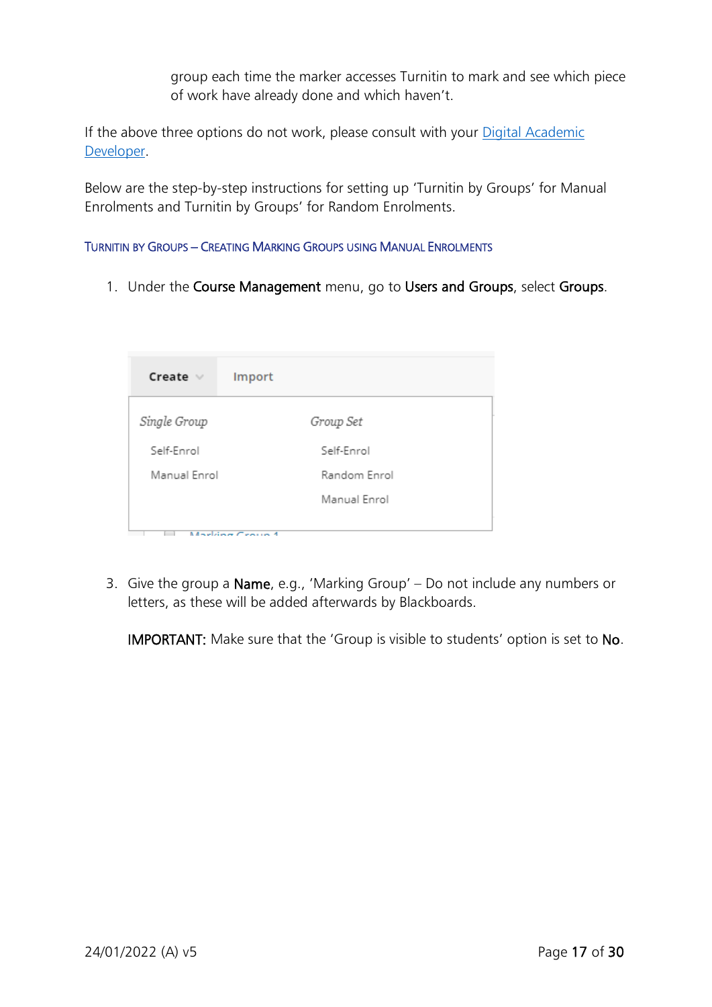group each time the marker accesses Turnitin to mark and see which piece of work have already done and which haven't.

If the above three options do not work, please consult with your Digital Academic [Developer.](https://www.canterbury.ac.uk/learning-and-teaching-enhancement/Blended-Learning/Blended-Learning-Support.aspx)

Below are the step-by-step instructions for setting up 'Turnitin by Groups' for Manual Enrolments and Turnitin by Groups' for Random Enrolments.

<span id="page-16-0"></span>TURNITIN BY GROUPS – CREATING MARKING GROUPS USING MANUAL ENROLMENTS

1. Under the Course Management menu, go to Users and Groups, select Groups.

| Create $\vee$ | Import          |
|---------------|-----------------|
| Single Group  | Group Set       |
| Self-Enrol    | Self-Enrol      |
| Manual Enrol  | Random Enrol    |
|               | Manual Enrol    |
|               | Marking Croup 4 |

3. Give the group a Name, e.g., 'Marking Group' – Do not include any numbers or letters, as these will be added afterwards by Blackboards.

IMPORTANT: Make sure that the 'Group is visible to students' option is set to No.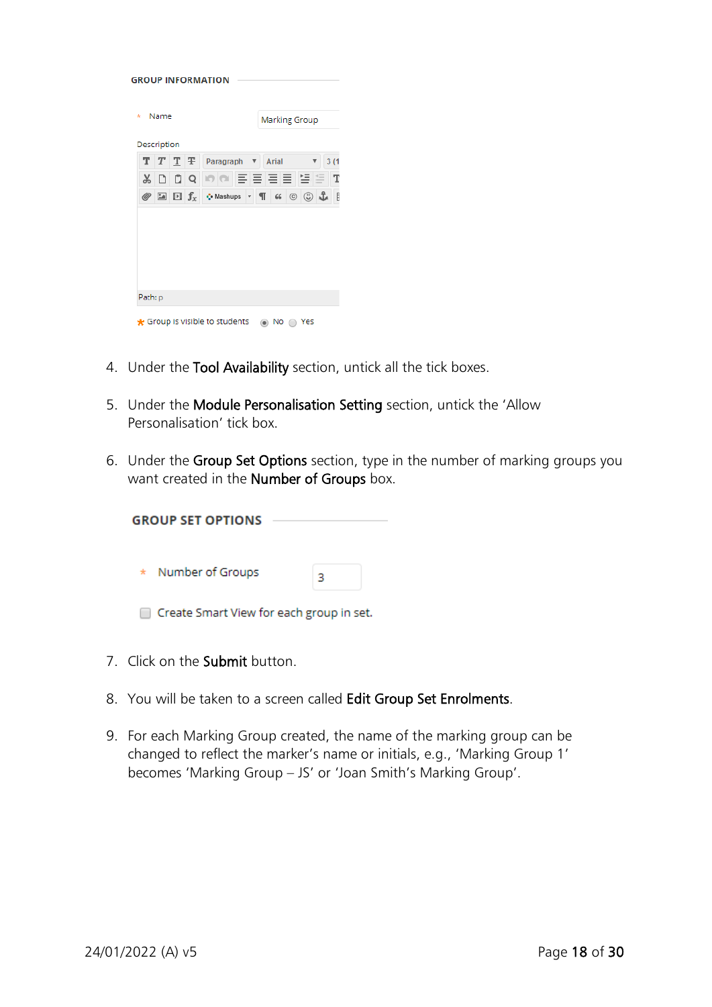| <b>GROUP INFORMATION</b> |      |                   |            |                                              |                                       |                                               |  |
|--------------------------|------|-------------------|------------|----------------------------------------------|---------------------------------------|-----------------------------------------------|--|
| *                        | Name |                   |            |                                              | <b>Marking Group</b>                  |                                               |  |
| Description              |      |                   |            |                                              |                                       |                                               |  |
|                          |      | $T$ $T$ $T$ $\mp$ |            | Paragraph<br>$\boldsymbol{\mathrm{v}}$       | <b>Arial</b>                          | 3(1)                                          |  |
| X                        |      |                   | Q          | 이에 퇴복되지 않아                                   |                                       |                                               |  |
| ◎                        | 24   |                   | $\Box f_x$ | <b>O</b> Mashups<br>$\overline{\phantom{a}}$ | $\blacksquare$<br>$^\copyright$<br>66 | <u>© රි</u><br>$\begin{array}{c} \end{array}$ |  |
|                          |      |                   |            |                                              |                                       |                                               |  |
|                          |      |                   |            |                                              |                                       |                                               |  |
|                          |      |                   |            |                                              |                                       |                                               |  |
|                          |      |                   |            |                                              |                                       |                                               |  |
|                          |      |                   |            |                                              |                                       |                                               |  |
| Path: p                  |      |                   |            |                                              |                                       |                                               |  |
|                          |      |                   |            | Group is visible to students                 |                                       |                                               |  |

- 4. Under the Tool Availability section, untick all the tick boxes.
- 5. Under the Module Personalisation Setting section, untick the 'Allow Personalisation' tick box.
- 6. Under the Group Set Options section, type in the number of marking groups you want created in the Number of Groups box.

| <b>GROUP SET OPTIONS</b> |  |
|--------------------------|--|
| * Number of Groups       |  |

- Create Smart View for each group in set.
- 7. Click on the Submit button.
- 8. You will be taken to a screen called Edit Group Set Enrolments.
- 9. For each Marking Group created, the name of the marking group can be changed to reflect the marker's name or initials, e.g., 'Marking Group 1' becomes 'Marking Group – JS' or 'Joan Smith's Marking Group'.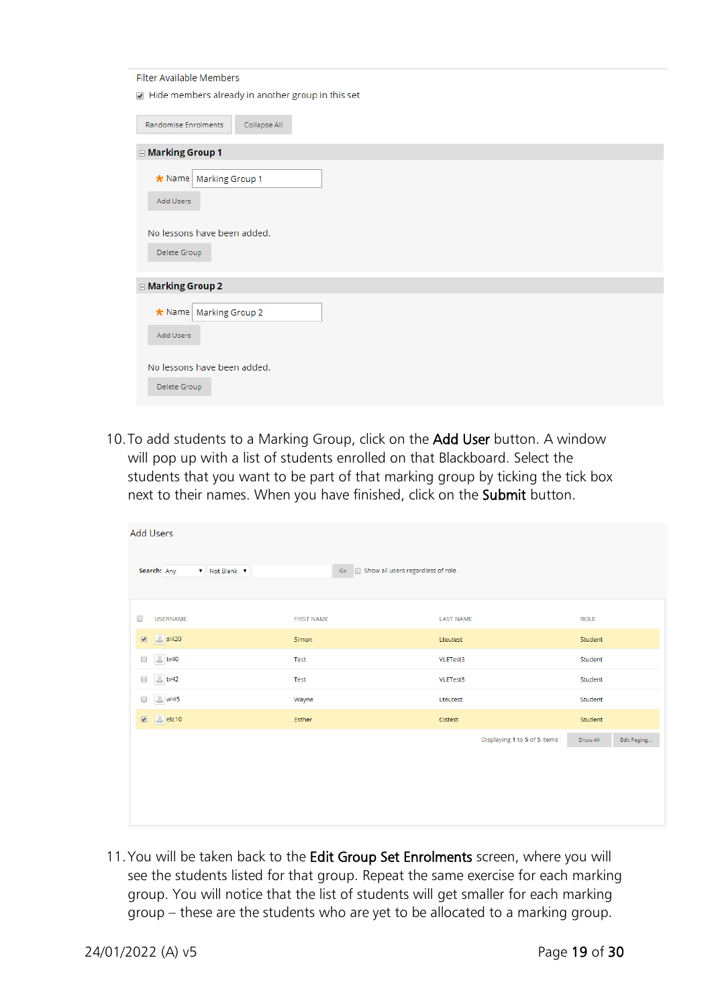| Filter Available Members                            |
|-----------------------------------------------------|
| 7 Hide members already in another group in this set |
| Collapse All<br>Randomise Enrolments                |
| <b>□ Marking Group 1</b>                            |
| * Name   Marking Group 1<br>Add Users               |
| No lessons have been added.<br>Delete Group         |
| <b>□ Marking Group 2</b>                            |
| * Name   Marking Group 2<br>Add Users               |
| No lessons have been added.<br>Delete Group         |

10.To add students to a Marking Group, click on the Add User button. A window will pop up with a list of students enrolled on that Blackboard. Select the students that you want to be part of that marking group by ticking the tick box next to their names. When you have finished, click on the Submit button.

| <b>Add Users</b>                              |                                             |                              |                         |
|-----------------------------------------------|---------------------------------------------|------------------------------|-------------------------|
| Search: Any<br>▼ Not Blank ▼                  | Go <b>Show all users regardless of role</b> |                              |                         |
| <b>USERNAME</b><br>$\Box$                     | <b>FIRST NAME</b>                           | <b>LAST NAME</b>             | <b>ROLE</b>             |
| S <sub>1420</sub><br>$\overline{\mathcal{L}}$ | Simon                                       | Lteutest                     | Student                 |
| $b$ tv40<br>$\Box$                            | Test                                        | VLETest3                     | Student                 |
| $b$ tv42<br>$\Box$                            | Test                                        | VLETest5                     | Student                 |
| $\sim$ wi45<br>$\Box$                         | Wayne                                       | Lteutest                     | Student                 |
| $\overline{\mathcal{L}}$<br>etc10             | <b>Esther</b>                               | Cistest                      | Student                 |
|                                               |                                             | Displaying 1 to 5 of 5 items | Show All<br>Edit Paging |
|                                               |                                             |                              |                         |
|                                               |                                             |                              |                         |
|                                               |                                             |                              |                         |
|                                               |                                             |                              |                         |

11. You will be taken back to the Edit Group Set Enrolments screen, where you will see the students listed for that group. Repeat the same exercise for each marking group. You will notice that the list of students will get smaller for each marking group – these are the students who are yet to be allocated to a marking group.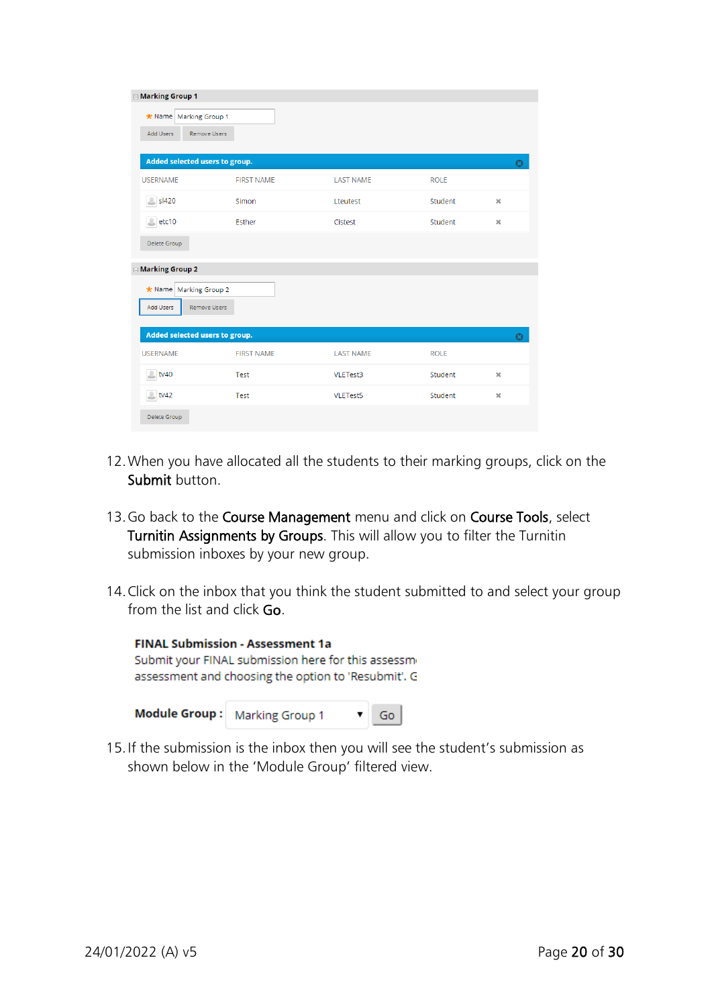| <b>□ Marking Group 1</b>                |                   |                  |             |              |
|-----------------------------------------|-------------------|------------------|-------------|--------------|
| * Name   Marking Group 1                |                   |                  |             |              |
| <b>Remove Users</b><br>Add Users        |                   |                  |             |              |
|                                         |                   |                  |             |              |
| Added selected users to group.          |                   |                  |             | $\Omega$     |
| <b>USERNAME</b>                         | <b>FIRST NAME</b> | <b>LAST NAME</b> | <b>ROLE</b> |              |
| $S$ sl420                               | Simon             | Lteutest         | Student     | $\mathbb{X}$ |
| $el$ etc10                              | Esther            | Cistest          | Student     | $\mathbb{M}$ |
| Delete Group                            |                   |                  |             |              |
| □ Marking Group 2                       |                   |                  |             |              |
| * Name Marking Group 2                  |                   |                  |             |              |
| Remove Users<br>Add Users               |                   |                  |             |              |
|                                         |                   |                  |             |              |
| Added selected users to group.          |                   |                  |             | റ            |
| <b>USERNAME</b>                         | <b>FIRST NAME</b> | <b>LAST NAME</b> | <b>ROLE</b> |              |
| $\stackrel{0}{\longrightarrow}$<br>tv40 | Test              | VLETest3         | Student     | $\mathsf{x}$ |
| $b$ tv42                                | Test              | <b>VLETest5</b>  | Student     | $\mathsf{x}$ |
| Delete Group                            |                   |                  |             |              |

- 12.When you have allocated all the students to their marking groups, click on the Submit button.
- 13. Go back to the Course Management menu and click on Course Tools, select Turnitin Assignments by Groups. This will allow you to filter the Turnitin submission inboxes by your new group.
- 14.Click on the inbox that you think the student submitted to and select your group from the list and click Go.

| <b>FINAL Submission - Assessment 1a</b>             |                                 |  |    |  |  |  |
|-----------------------------------------------------|---------------------------------|--|----|--|--|--|
| Submit your FINAL submission here for this assessme |                                 |  |    |  |  |  |
| assessment and choosing the option to 'Resubmit'. G |                                 |  |    |  |  |  |
|                                                     |                                 |  |    |  |  |  |
|                                                     | Module Group:   Marking Group 1 |  | Go |  |  |  |

15.If the submission is the inbox then you will see the student's submission as shown below in the 'Module Group' filtered view.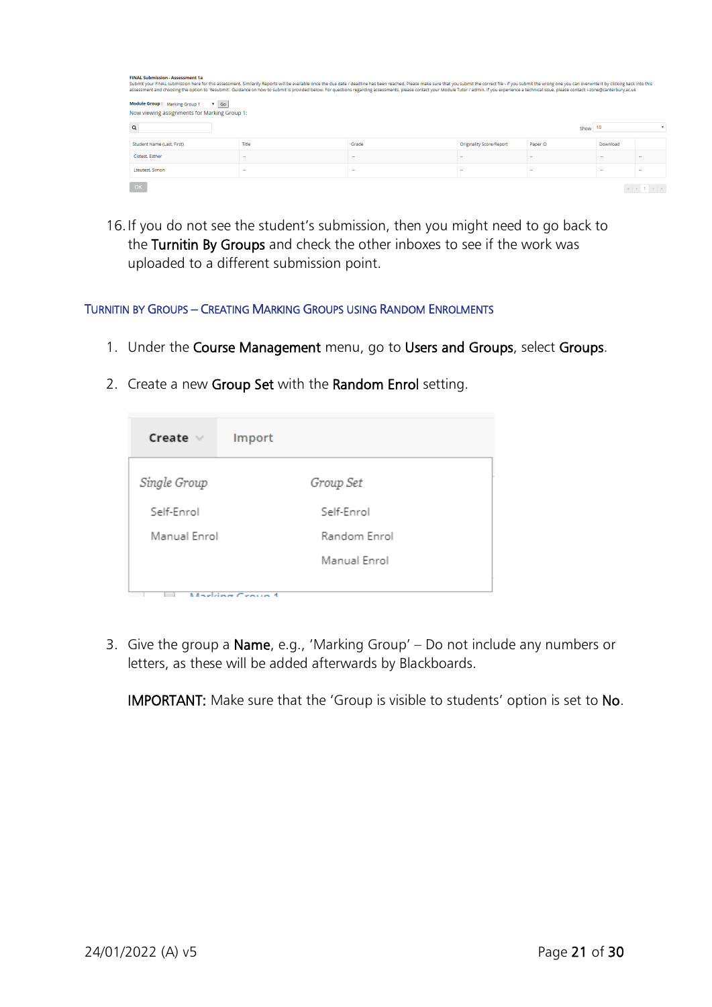| <b>FINAL Submission - Assessment 1a</b><br>Submit your FINAL submission here for this assessment. Similarity Reports will be available once the due date / deadline has been reached. Please make sure that you submit the correct file - if you submit the wrong one you<br>assessment and choosing the option to 'Resubmit'. Guidance on how to submit is provided below. For questions regarding assessments, please contact your Module Tutor / admin. If you experience a technical issue, please cont<br>Module Group: Marking Group 1<br>$7 - Go$<br>Now viewing assignments for Marking Group 1: |        |        |                                 |                          |                |        |  |  |
|----------------------------------------------------------------------------------------------------------------------------------------------------------------------------------------------------------------------------------------------------------------------------------------------------------------------------------------------------------------------------------------------------------------------------------------------------------------------------------------------------------------------------------------------------------------------------------------------------------|--------|--------|---------------------------------|--------------------------|----------------|--------|--|--|
| $\alpha$                                                                                                                                                                                                                                                                                                                                                                                                                                                                                                                                                                                                 |        |        |                                 | Show                     | 10             |        |  |  |
| Student Name (Last, First)                                                                                                                                                                                                                                                                                                                                                                                                                                                                                                                                                                               | Title  | Grade  | <b>Originality Score/Report</b> | Paper ID                 | Download       |        |  |  |
| Cistest, Esther                                                                                                                                                                                                                                                                                                                                                                                                                                                                                                                                                                                          | $\sim$ | $\sim$ | $\mathbf{r}$                    |                          | $\sim$         |        |  |  |
| Lteutest, Simon                                                                                                                                                                                                                                                                                                                                                                                                                                                                                                                                                                                          | $\sim$ | $\sim$ | $\overline{\phantom{a}}$        | $\overline{\phantom{a}}$ | $\overline{a}$ | $\sim$ |  |  |
| OK                                                                                                                                                                                                                                                                                                                                                                                                                                                                                                                                                                                                       |        |        |                                 |                          |                |        |  |  |

16.If you do not see the student's submission, then you might need to go back to the Turnitin By Groups and check the other inboxes to see if the work was uploaded to a different submission point.

#### <span id="page-20-0"></span>TURNITIN BY GROUPS – CREATING MARKING GROUPS USING RANDOM ENROLMENTS

- 1. Under the Course Management menu, go to Users and Groups, select Groups.
- 2. Create a new Group Set with the Random Enrol setting.

| Create $\vee$ | Import          |
|---------------|-----------------|
| Single Group  | Group Set       |
| Self-Enrol    | Self-Enrol      |
| Manual Enrol  | Random Enrol    |
|               | Manual Enrol    |
|               | Marking Croup 4 |

3. Give the group a Name, e.g., 'Marking Group' – Do not include any numbers or letters, as these will be added afterwards by Blackboards.

IMPORTANT: Make sure that the 'Group is visible to students' option is set to No.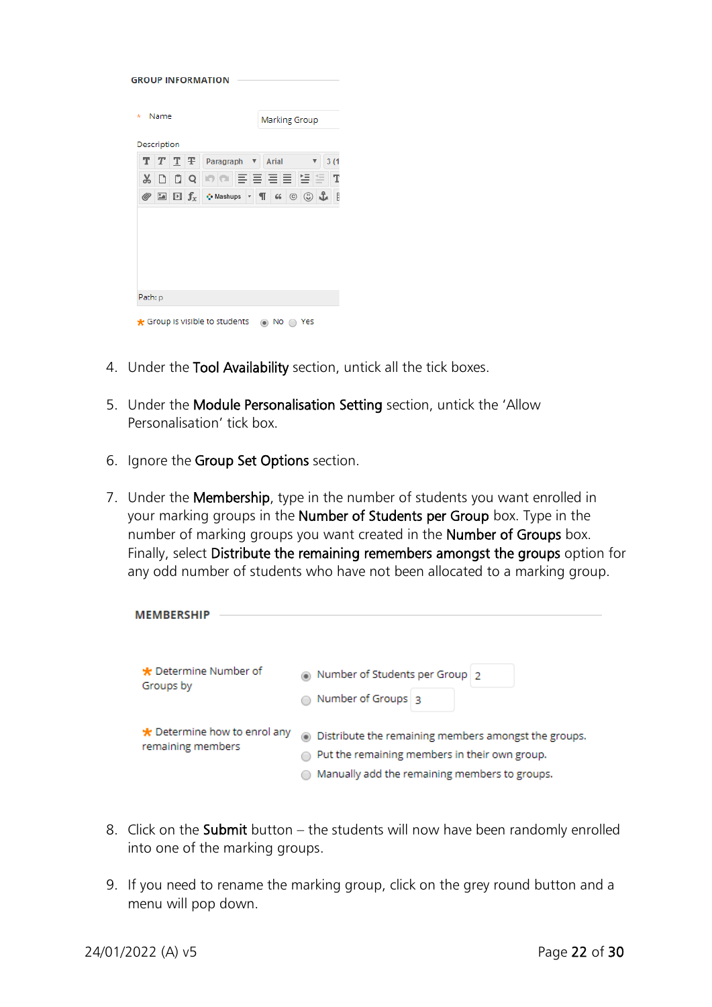| Description                                                                                                    |                                |
|----------------------------------------------------------------------------------------------------------------|--------------------------------|
|                                                                                                                |                                |
| $T$ T $\overline{T}$<br>Paragraph<br>Arial<br>$\boldsymbol{\mathrm{v}}$                                        | 3(1)                           |
| 이에 리드 크로 별로<br>Q<br>X                                                                                          |                                |
| ි ආ<br>$\boxed{2}$ $\boxed{1}$ $f_x$<br>T<br>$^\copyright$<br>· Mashups<br>66<br>◎<br>$\overline{\phantom{a}}$ | $\begin{array}{c} \end{array}$ |

- 4. Under the Tool Availability section, untick all the tick boxes.
- 5. Under the Module Personalisation Setting section, untick the 'Allow Personalisation' tick box.
- 6. Ignore the Group Set Options section.
- 7. Under the Membership, type in the number of students you want enrolled in your marking groups in the Number of Students per Group box. Type in the number of marking groups you want created in the Number of Groups box. Finally, select Distribute the remaining remembers amongst the groups option for any odd number of students who have not been allocated to a marking group.

| <b>MEMBERSHIP</b>                                       |                                                                                                                                                          |
|---------------------------------------------------------|----------------------------------------------------------------------------------------------------------------------------------------------------------|
| * Determine Number of<br>Groups by                      | Number of Students per Group 2<br>Number of Groups 3                                                                                                     |
| $\star$ Determine how to enrol any<br>remaining members | • Distribute the remaining members amongst the groups.<br>Put the remaining members in their own group.<br>Manually add the remaining members to groups. |

- 8. Click on the Submit button the students will now have been randomly enrolled into one of the marking groups.
- 9. If you need to rename the marking group, click on the grey round button and a menu will pop down.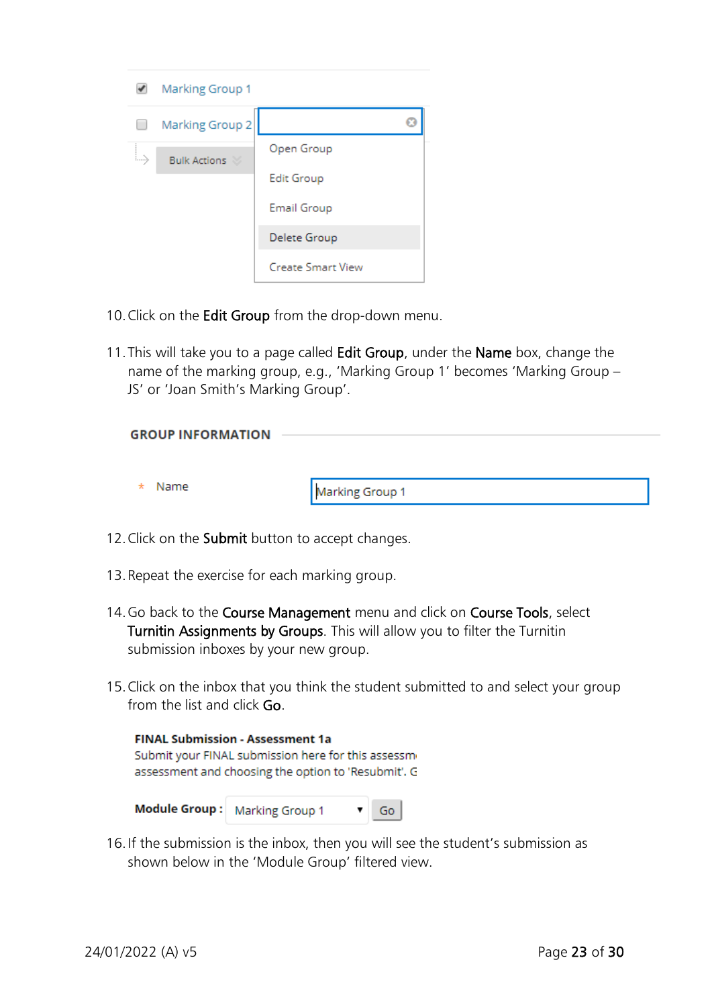| Marking Group 1            |                          |
|----------------------------|--------------------------|
| Marking Group 2            |                          |
| Ly.<br><b>Bulk Actions</b> | Open Group               |
|                            | <b>Edit Group</b>        |
|                            | Email Group              |
|                            | Delete Group             |
|                            | <b>Create Smart View</b> |

- 10. Click on the Edit Group from the drop-down menu.
- 11. This will take you to a page called Edit Group, under the Name box, change the name of the marking group, e.g., 'Marking Group 1' becomes 'Marking Group – JS' or 'Joan Smith's Marking Group'.

| <b>GROUP INFORMATION</b> |                 |
|--------------------------|-----------------|
| Name<br>$\star$          | Marking Group 1 |

- 12. Click on the Submit button to accept changes.
- 13.Repeat the exercise for each marking group.
- 14. Go back to the Course Management menu and click on Course Tools, select Turnitin Assignments by Groups. This will allow you to filter the Turnitin submission inboxes by your new group.
- 15.Click on the inbox that you think the student submitted to and select your group from the list and click Go.

| <b>FINAL Submission - Assessment 1a</b>             |                 |  |    |  |  |
|-----------------------------------------------------|-----------------|--|----|--|--|
| Submit your FINAL submission here for this assessm  |                 |  |    |  |  |
| assessment and choosing the option to 'Resubmit'. G |                 |  |    |  |  |
|                                                     |                 |  |    |  |  |
| <b>Module Group :</b>                               | Marking Group 1 |  | Go |  |  |

16.If the submission is the inbox, then you will see the student's submission as shown below in the 'Module Group' filtered view.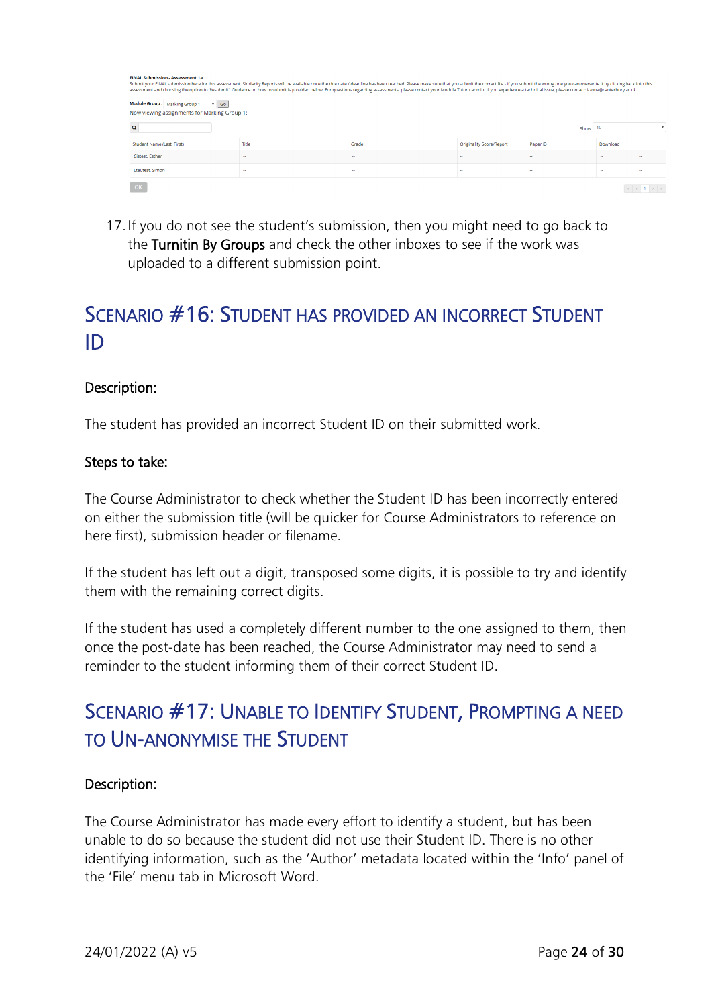| <b>FINAL Submission - Assessment 1a</b><br>Submit your FINAL submission here for this assessment. Similarity Reports will be available once the due date / deadline has been reached. Please make sure that you submit the correct file - if you submit the wrong one you<br>assessment and choosing the option to 'Resubmit'. Guidance on how to submit is provided below. For questions regarding assessments, please contact your Module Tutor / admin. If you experience a technical issue, please cont<br>Module Group: Marking Group 1<br>$\sqrt{60}$<br>Now viewing assignments for Marking Group 1: |                          |                          |                                 |          |          |  |
|-------------------------------------------------------------------------------------------------------------------------------------------------------------------------------------------------------------------------------------------------------------------------------------------------------------------------------------------------------------------------------------------------------------------------------------------------------------------------------------------------------------------------------------------------------------------------------------------------------------|--------------------------|--------------------------|---------------------------------|----------|----------|--|
| $\alpha$                                                                                                                                                                                                                                                                                                                                                                                                                                                                                                                                                                                                    |                          |                          |                                 | Show     | 10       |  |
| Student Name (Last, First)                                                                                                                                                                                                                                                                                                                                                                                                                                                                                                                                                                                  | Title                    | Grade                    | <b>Originality Score/Report</b> | Paper ID | Download |  |
| Cistest, Esther                                                                                                                                                                                                                                                                                                                                                                                                                                                                                                                                                                                             | <b>ST</b>                | $\sim$                   | -                               | -        | $\sim$   |  |
| Lteutest, Simon                                                                                                                                                                                                                                                                                                                                                                                                                                                                                                                                                                                             | $\overline{\phantom{a}}$ | $\overline{\phantom{a}}$ | $\sim$                          | -        | -        |  |
| OK                                                                                                                                                                                                                                                                                                                                                                                                                                                                                                                                                                                                          |                          |                          |                                 |          |          |  |

17.If you do not see the student's submission, then you might need to go back to the Turnitin By Groups and check the other inboxes to see if the work was uploaded to a different submission point.

### <span id="page-23-0"></span>SCENARIO #16: STUDENT HAS PROVIDED AN INCORRECT STUDENT ID

### Description:

The student has provided an incorrect Student ID on their submitted work.

### Steps to take:

The Course Administrator to check whether the Student ID has been incorrectly entered on either the submission title (will be quicker for Course Administrators to reference on here first), submission header or filename.

If the student has left out a digit, transposed some digits, it is possible to try and identify them with the remaining correct digits.

If the student has used a completely different number to the one assigned to them, then once the post-date has been reached, the Course Administrator may need to send a reminder to the student informing them of their correct Student ID.

### <span id="page-23-1"></span>SCENARIO #17: UNABLE TO IDENTIFY STUDENT, PROMPTING A NEED TO UN-ANONYMISE THE STUDENT

### Description:

The Course Administrator has made every effort to identify a student, but has been unable to do so because the student did not use their Student ID. There is no other identifying information, such as the 'Author' metadata located within the 'Info' panel of the 'File' menu tab in Microsoft Word.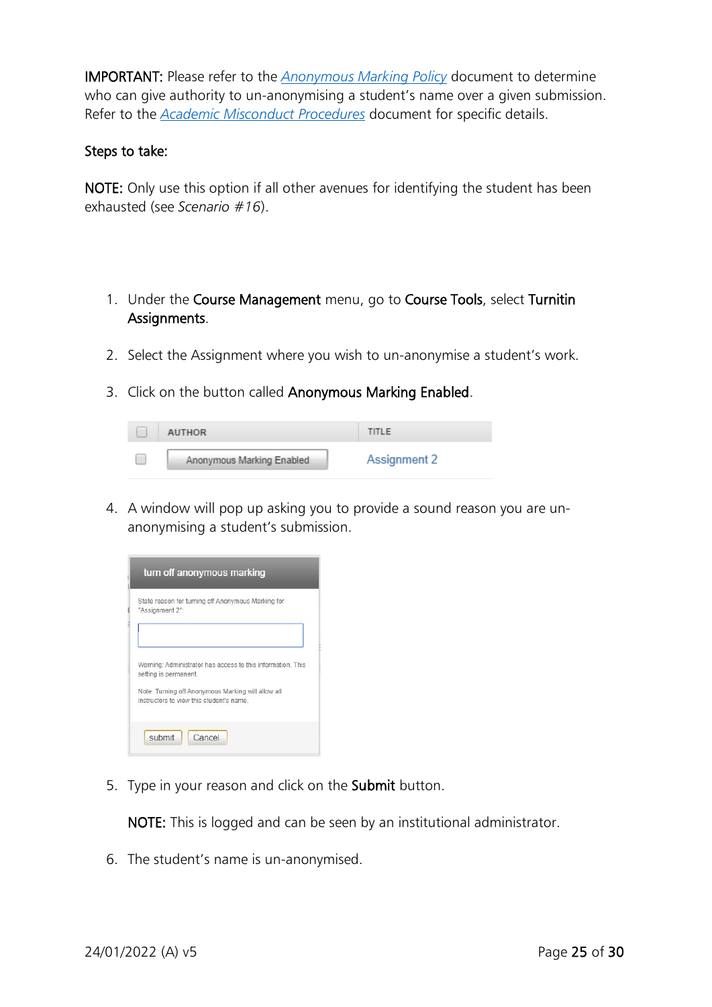IMPORTANT: Please refer to the *[Anonymous Marking Policy](https://www.canterbury.ac.uk/learning-and-teaching-enhancement/docs/Anon-Marking/Anonymous-Marking-Policy-AB-approved-June-2021.pdf)* document to determine who can give authority to un-anonymising a student's name over a given submission. Refer to the *[Academic Misconduct Procedures](https://www.canterbury.ac.uk/learning-and-teaching-enhancement/docs/Student-Academic-Misconduct-Procedures-from-Sept-2021.pdf)* document for specific details.

#### Steps to take:

NOTE: Only use this option if all other avenues for identifying the student has been exhausted (see *Scenario #16*).

- 1. Under the Course Management menu, go to Course Tools, select Turnitin Assignments.
- 2. Select the Assignment where you wish to un-anonymise a student's work.
- 3. Click on the button called Anonymous Marking Enabled.

| <b>AUTHOR</b> |                           | TITLE        |
|---------------|---------------------------|--------------|
|               | Anonymous Marking Enabled | Assignment 2 |

4. A window will pop up asking you to provide a sound reason you are unanonymising a student's submission.

|                 | turn off anonymous marking                                                                     |
|-----------------|------------------------------------------------------------------------------------------------|
| "Assignment 2": | State reason for turning off Anonymous Marking for                                             |
|                 | Warning: Administrator has access to this information. This<br>setting is permanent.           |
|                 | Note: Turning off Anonymous Marking will allow all<br>instructors to view this student's name. |
| submit          | Cancel                                                                                         |

5. Type in your reason and click on the Submit button.

NOTE: This is logged and can be seen by an institutional administrator.

6. The student's name is un-anonymised.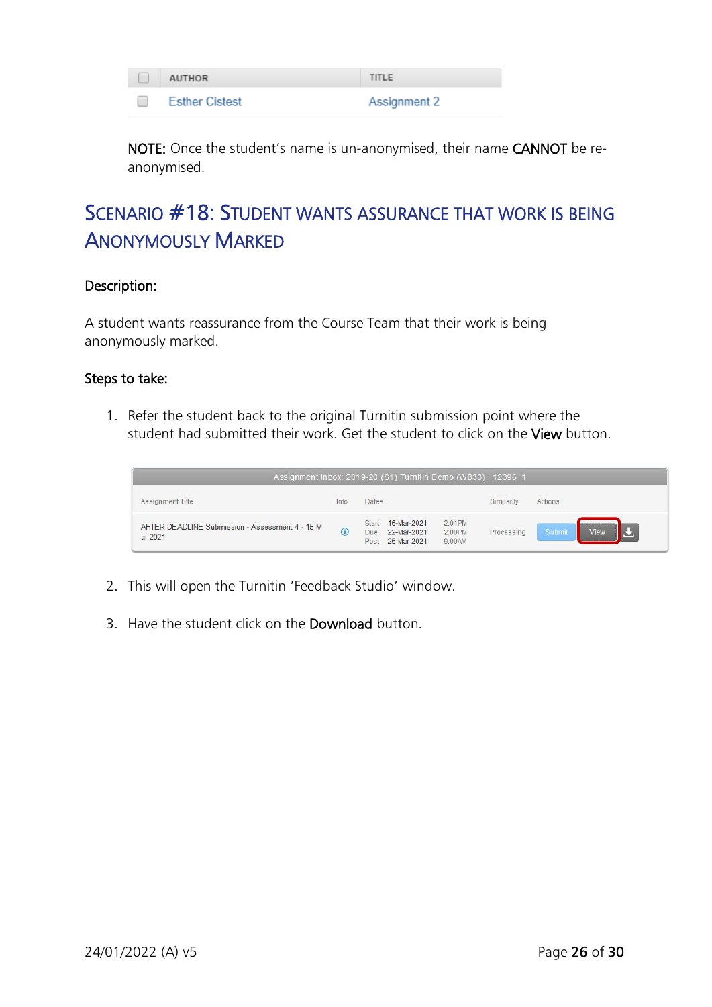| <b>AUTHOR</b>         | TITLE        |
|-----------------------|--------------|
| <b>Esther Cistest</b> | Assignment 2 |

NOTE: Once the student's name is un-anonymised, their name CANNOT be reanonymised.

# <span id="page-25-0"></span>SCENARIO #18: STUDENT WANTS ASSURANCE THAT WORK IS BEING ANONYMOUSLY MARKED

### Description:

A student wants reassurance from the Course Team that their work is being anonymously marked.

#### Steps to take:

1. Refer the student back to the original Turnitin submission point where the student had submitted their work. Get the student to click on the View button.

| Assignment Inbox: 2019-20 (S1) Turnitin Demo (WB33) 12396 1 |            |               |                                                |                            |            |                |
|-------------------------------------------------------------|------------|---------------|------------------------------------------------|----------------------------|------------|----------------|
| Assignment Title                                            | Info       | <b>Dates</b>  |                                                |                            | Similarity | Actions        |
| AFTER DEADLINE Submission - Assessment 4 - 15 M<br>ar 2021  | $\bigcirc$ | Start<br>Due. | 16-Mar-2021<br>22-Mar-2021<br>Post 25-Mar-2021 | 2:01PM<br>2:00PM<br>9:00AM | Processing | Submit<br>View |

- 2. This will open the Turnitin 'Feedback Studio' window.
- 3. Have the student click on the Download button.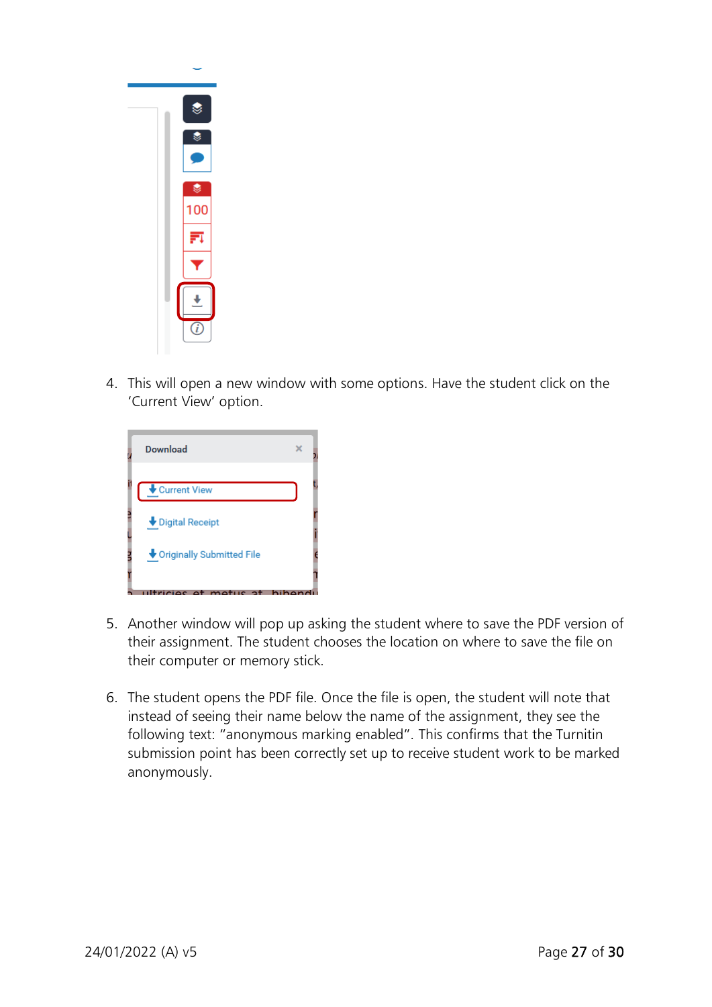

4. This will open a new window with some options. Have the student click on the 'Current View' option.



- 5. Another window will pop up asking the student where to save the PDF version of their assignment. The student chooses the location on where to save the file on their computer or memory stick.
- 6. The student opens the PDF file. Once the file is open, the student will note that instead of seeing their name below the name of the assignment, they see the following text: "anonymous marking enabled". This confirms that the Turnitin submission point has been correctly set up to receive student work to be marked anonymously.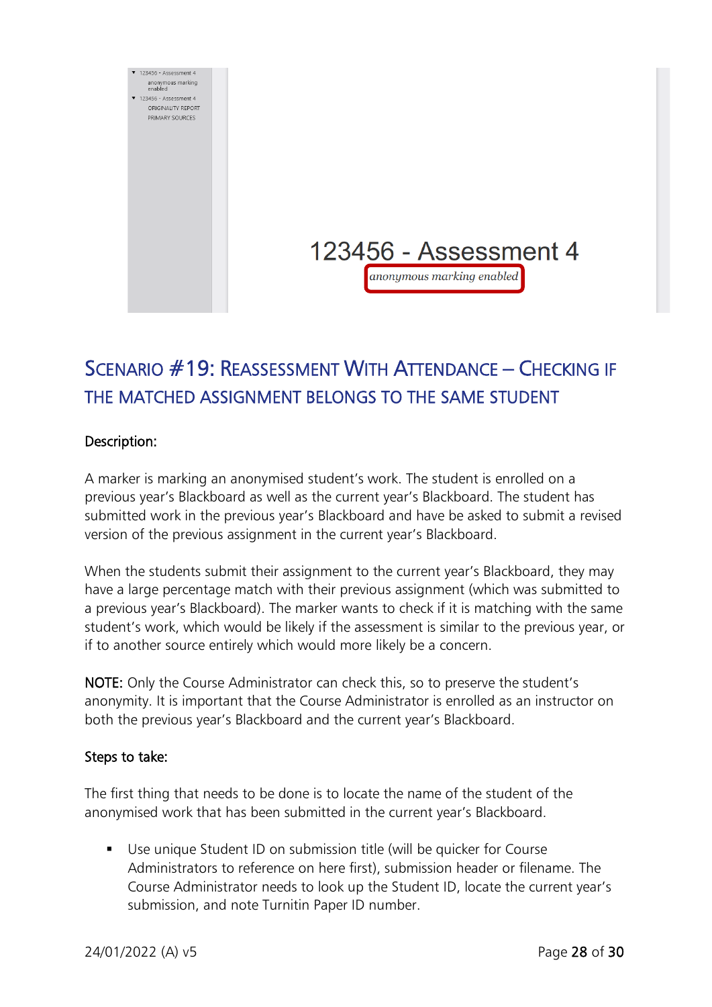

# <span id="page-27-0"></span>SCENARIO #19: REASSESSMENT WITH ATTENDANCE – CHECKING IF THE MATCHED ASSIGNMENT BELONGS TO THE SAME STUDENT

### Description:

A marker is marking an anonymised student's work. The student is enrolled on a previous year's Blackboard as well as the current year's Blackboard. The student has submitted work in the previous year's Blackboard and have be asked to submit a revised version of the previous assignment in the current year's Blackboard.

When the students submit their assignment to the current year's Blackboard, they may have a large percentage match with their previous assignment (which was submitted to a previous year's Blackboard). The marker wants to check if it is matching with the same student's work, which would be likely if the assessment is similar to the previous year, or if to another source entirely which would more likely be a concern.

NOTE: Only the Course Administrator can check this, so to preserve the student's anonymity. It is important that the Course Administrator is enrolled as an instructor on both the previous year's Blackboard and the current year's Blackboard.

#### Steps to take:

The first thing that needs to be done is to locate the name of the student of the anonymised work that has been submitted in the current year's Blackboard.

 Use unique Student ID on submission title (will be quicker for Course Administrators to reference on here first), submission header or filename. The Course Administrator needs to look up the Student ID, locate the current year's submission, and note Turnitin Paper ID number.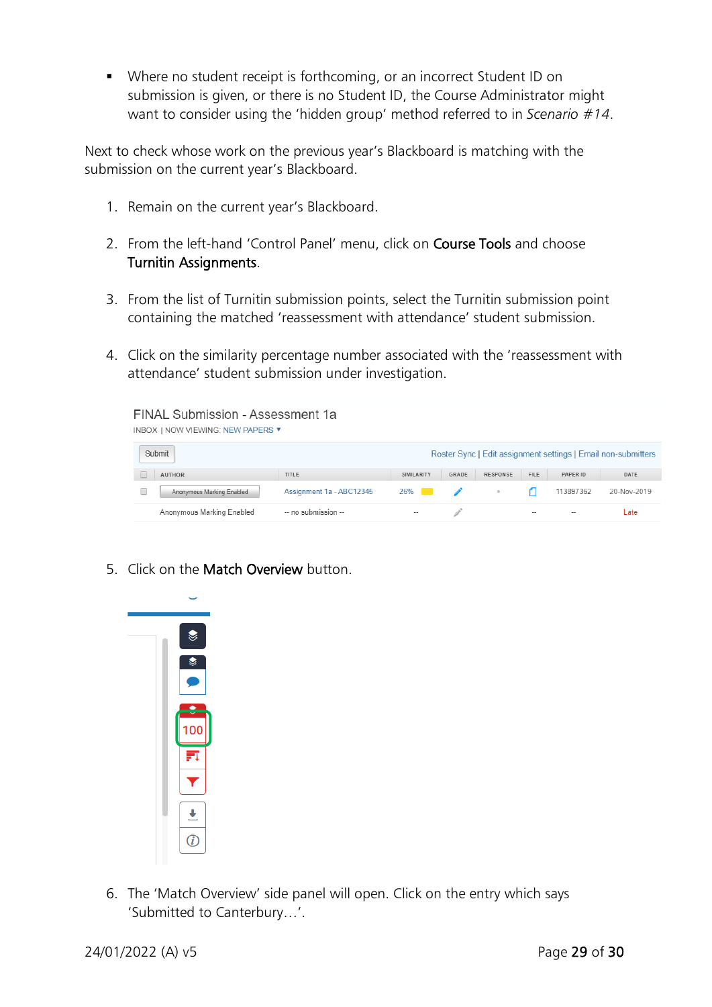Where no student receipt is forthcoming, or an incorrect Student ID on submission is given, or there is no Student ID, the Course Administrator might want to consider using the 'hidden group' method referred to in *Scenario #14*.

Next to check whose work on the previous year's Blackboard is matching with the submission on the current year's Blackboard.

- 1. Remain on the current year's Blackboard.
- 2. From the left-hand 'Control Panel' menu, click on Course Tools and choose Turnitin Assignments.
- 3. From the list of Turnitin submission points, select the Turnitin submission point containing the matched 'reassessment with attendance' student submission.
- 4. Click on the similarity percentage number associated with the 'reassessment with attendance' student submission under investigation.



5. Click on the Match Overview button.



6. The 'Match Overview' side panel will open. Click on the entry which says 'Submitted to Canterbury…'.